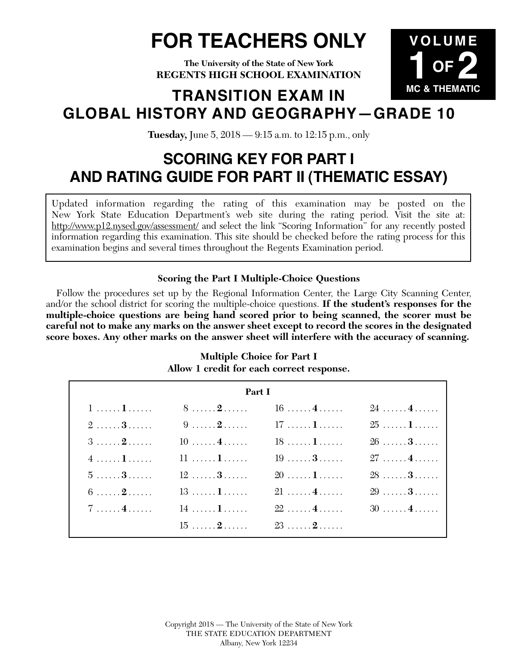# **FOR TEACHERS ONLY**

**VOLUME**

**1 OF 2**

**The University of the State of New York REGENTS HIGH SCHOOL EXAMINATION**

## **MC & THEMATIC TRANSITION EXAM IN GLOBAL HISTORY AND GEOGRAPHY—GRADE 10**

**Tuesday,** June 5, 2018 — 9:15 a.m. to 12:15 p.m., only

## **SCORING KEY FOR PART I AND RATING GUIDE FOR PART II (THEMATIC ESSAY)**

Updated information regarding the rating of this examination may be posted on the New York State Education Department's web site during the rating period. Visit the site at: http://www.p12.nysed.gov/assessment/ and select the link "Scoring Information" for any recently posted information regarding this examination. This site should be checked before the rating process for this examination begins and several times throughout the Regents Examination period.

## **Scoring the Part I Multiple-Choice Questions**

Follow the procedures set up by the Regional Information Center, the Large City Scanning Center, and/or the school district for scoring the multiple-choice questions. **If the student's responses for the multiple-choice questions are being hand scored prior to being scanned, the scorer must be careful not to make any marks on the answer sheet except to record the scores in the designated score boxes. Any other marks on the answer sheet will interfere with the accuracy of scanning.**

| Part I                 |                                                  |                                                  |                                                  |  |
|------------------------|--------------------------------------------------|--------------------------------------------------|--------------------------------------------------|--|
| $1, \ldots, 1, \ldots$ | $8 \ldots 2 \ldots 16 \ldots 4 \ldots$           |                                                  | $24, \ldots, 4, \ldots$                          |  |
| $2 \ldots 3 \ldots$    |                                                  |                                                  |                                                  |  |
| $3 \ldots 2 \ldots$    | $10 \ldots 4 \ldots 4 \ldots 18 \ldots 1 \ldots$ |                                                  | $26 \ldots 3 \ldots$                             |  |
| 41                     | $11$ <b>1</b>                                    | $19 \ldots 3 \ldots$                             | 274                                              |  |
|                        | $5 \ldots 3 \ldots 12 \ldots 3 \ldots$           | $20$ 1                                           | 283                                              |  |
|                        | $6 \ldots 2 \ldots 13 \ldots 1$                  | $21 \ldots 4 \ldots 4 \ldots 29 \ldots 3 \ldots$ |                                                  |  |
| $7 \ldots 4 \ldots$    | $14 \ldots 1 \ldots$                             |                                                  | $22 \ldots 4 \ldots 4 \ldots 30 \ldots 4 \ldots$ |  |
|                        | $15 \ldots 2$                                    | $23$ 2                                           |                                                  |  |

#### **Multiple Choice for Part I Allow 1 credit for each correct response.**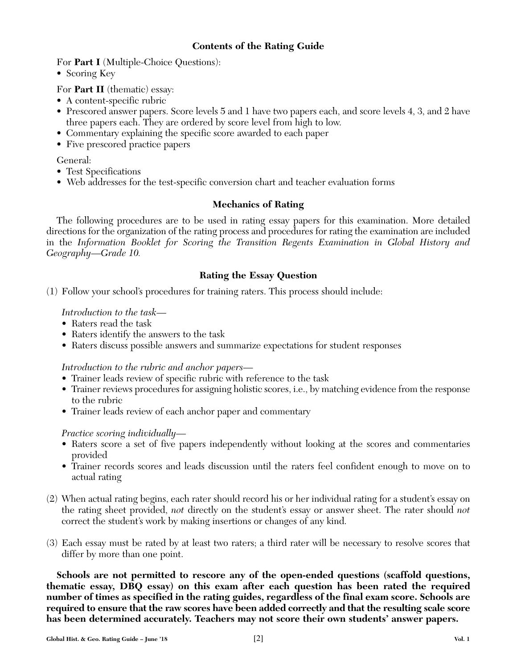#### **Contents of the Rating Guide**

For **Part I** (Multiple-Choice Questions):

• Scoring Key

For **Part II** (thematic) essay:

- A content-specific rubric
- Prescored answer papers. Score levels 5 and 1 have two papers each, and score levels 4, 3, and 2 have three papers each. They are ordered by score level from high to low.
- Commentary explaining the specific score awarded to each paper
- Five prescored practice papers

General:

- Test Specifications
- Web addresses for the test-specific conversion chart and teacher evaluation forms

#### **Mechanics of Rating**

The following procedures are to be used in rating essay papers for this examination. More detailed directions for the organization of the rating process and procedures for rating the examination are included in the *Information Booklet for Scoring the Transition Regents Examination in Global History and Geography—Grade 10.*

#### **Rating the Essay Question**

(1) Follow your school's procedures for training raters. This process should include:

#### *Introduction to the task—*

- Raters read the task
- Raters identify the answers to the task
- Raters discuss possible answers and summarize expectations for student responses

*Introduction to the rubric and anchor papers—*

- Trainer leads review of specific rubric with reference to the task
- Trainer reviews procedures for assigning holistic scores, i.e., by matching evidence from the response to the rubric
- Trainer leads review of each anchor paper and commentary

#### *Practice scoring individually—*

- Raters score a set of five papers independently without looking at the scores and commentaries provided
- Trainer records scores and leads discussion until the raters feel confident enough to move on to actual rating
- (2) When actual rating begins, each rater should record his or her individual rating for a student's essay on the rating sheet provided, *not* directly on the student's essay or answer sheet. The rater should *not*  correct the student's work by making insertions or changes of any kind.
- (3) Each essay must be rated by at least two raters; a third rater will be necessary to resolve scores that differ by more than one point.

**Schools are not permitted to rescore any of the open-ended questions (scaffold questions, thematic essay, DBQ essay) on this exam after each question has been rated the required number of times as specified in the rating guides, regardless of the final exam score. Schools are required to ensure that the raw scores have been added correctly and that the resulting scale score has been determined accurately. Teachers may not score their own students' answer papers.**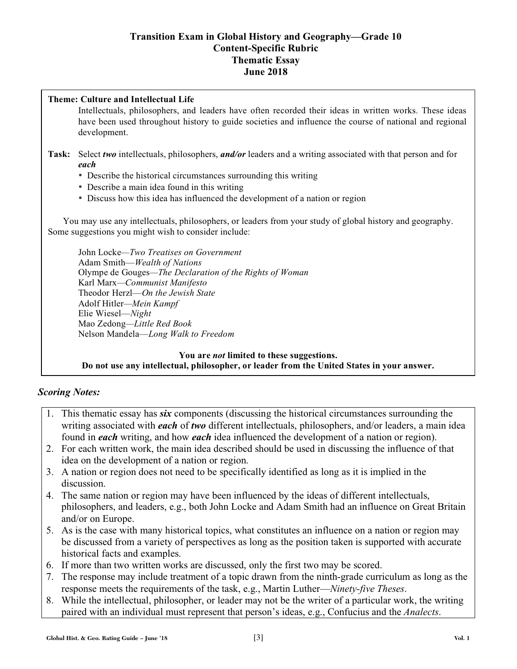#### **Transition Exam in Global History and Geography—Grade 10 Content-Specific Rubric Thematic Essay June 2018**

#### **Theme: Culture and Intellectual Life**

Intellectuals, philosophers, and leaders have often recorded their ideas in written works. These ideas have been used throughout history to guide societies and influence the course of national and regional development.

#### **Task:** Select *two* intellectuals, philosophers, *and/or* leaders and a writing associated with that person and for *each*

- Describe the historical circumstances surrounding this writing
- Describe a main idea found in this writing
- Discuss how this idea has influenced the development of a nation or region

 You may use any intellectuals, philosophers, or leaders from your study of global history and geography. Some suggestions you might wish to consider include:

John Locke*—Two Treatises on Government*  Adam Smith—*Wealth of Nations* Olympe de Gouges*—The Declaration of the Rights of Woman*  Karl Marx*—Communist Manifesto*  Theodor Herzl—*On the Jewish State*  Adolf Hitler*—Mein Kampf*  Elie Wiesel—*Night*  Mao Zedong*—Little Red Book*  Nelson Mandela—*Long Walk to Freedom* 

#### **You are** *not* **limited to these suggestions. Do not use any intellectual, philosopher, or leader from the United States in your answer.**

## *Scoring Notes:*

- 1. This thematic essay has *six* components (discussing the historical circumstances surrounding the writing associated with *each* of *two* different intellectuals, philosophers, and/or leaders, a main idea found in *each* writing, and how *each* idea influenced the development of a nation or region).
- 2. For each written work, the main idea described should be used in discussing the influence of that idea on the development of a nation or region.
- 3. A nation or region does not need to be specifically identified as long as it is implied in the discussion.
- 4. The same nation or region may have been influenced by the ideas of different intellectuals, philosophers, and leaders, e.g., both John Locke and Adam Smith had an influence on Great Britain and/or on Europe.
- 5. As is the case with many historical topics, what constitutes an influence on a nation or region may be discussed from a variety of perspectives as long as the position taken is supported with accurate historical facts and examples.
- 6. If more than two written works are discussed, only the first two may be scored.
- 7. The response may include treatment of a topic drawn from the ninth-grade curriculum as long as the response meets the requirements of the task, e.g., Martin Luther—*Ninety-five Theses*.
- 8. While the intellectual, philosopher, or leader may not be the writer of a particular work, the writing paired with an individual must represent that person's ideas, e.g., Confucius and the *Analects*.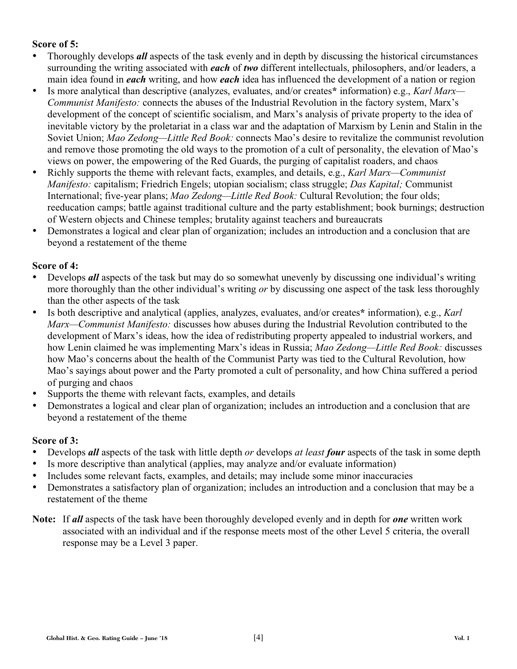#### **Score of 5:**

- Thoroughly develops *all* aspects of the task evenly and in depth by discussing the historical circumstances surrounding the writing associated with *each* of *two* different intellectuals, philosophers, and/or leaders, a main idea found in *each* writing, and how *each* idea has influenced the development of a nation or region
- Is more analytical than descriptive (analyzes, evaluates, and/or creates**\*** information) e.g., *Karl Marx— Communist Manifesto:* connects the abuses of the Industrial Revolution in the factory system, Marx's development of the concept of scientific socialism, and Marx's analysis of private property to the idea of inevitable victory by the proletariat in a class war and the adaptation of Marxism by Lenin and Stalin in the Soviet Union; *Mao Zedong—Little Red Book:* connects Mao's desire to revitalize the communist revolution and remove those promoting the old ways to the promotion of a cult of personality, the elevation of Mao's views on power, the empowering of the Red Guards, the purging of capitalist roaders, and chaos
- Richly supports the theme with relevant facts, examples, and details, e.g., *Karl Marx—Communist Manifesto:* capitalism; Friedrich Engels; utopian socialism; class struggle; *Das Kapital;* Communist International; five-year plans; *Mao Zedong—Little Red Book:* Cultural Revolution; the four olds; reeducation camps; battle against traditional culture and the party establishment; book burnings; destruction of Western objects and Chinese temples; brutality against teachers and bureaucrats
- Demonstrates a logical and clear plan of organization; includes an introduction and a conclusion that are beyond a restatement of the theme

#### **Score of 4:**

- Develops *all* aspects of the task but may do so somewhat unevenly by discussing one individual's writing more thoroughly than the other individual's writing *or* by discussing one aspect of the task less thoroughly than the other aspects of the task
- Is both descriptive and analytical (applies, analyzes, evaluates, and/or creates**\*** information), e.g., *Karl Marx—Communist Manifesto:* discusses how abuses during the Industrial Revolution contributed to the development of Marx's ideas, how the idea of redistributing property appealed to industrial workers, and how Lenin claimed he was implementing Marx's ideas in Russia; *Mao Zedong—Little Red Book:* discusses how Mao's concerns about the health of the Communist Party was tied to the Cultural Revolution, how Mao's sayings about power and the Party promoted a cult of personality, and how China suffered a period of purging and chaos
- Supports the theme with relevant facts, examples, and details
- Demonstrates a logical and clear plan of organization; includes an introduction and a conclusion that are beyond a restatement of the theme

## **Score of 3:**

- Develops *all* aspects of the task with little depth *or* develops *at least four* aspects of the task in some depth
- Is more descriptive than analytical (applies, may analyze and/or evaluate information)
- Includes some relevant facts, examples, and details; may include some minor inaccuracies
- Demonstrates a satisfactory plan of organization; includes an introduction and a conclusion that may be a restatement of the theme
- **Note:** If *all* aspects of the task have been thoroughly developed evenly and in depth for *one* written work associated with an individual and if the response meets most of the other Level 5 criteria, the overall response may be a Level 3 paper.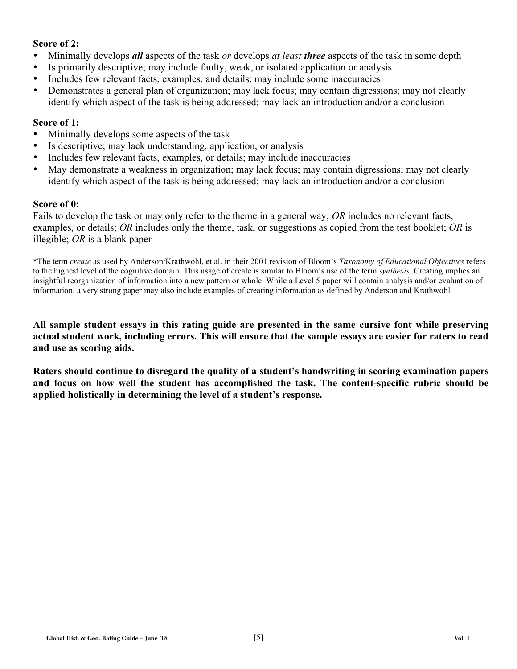#### **Score of 2:**

- Minimally develops *all* aspects of the task *or* develops *at least three* aspects of the task in some depth
- Is primarily descriptive; may include faulty, weak, or isolated application or analysis
- Includes few relevant facts, examples, and details; may include some inaccuracies
- Demonstrates a general plan of organization; may lack focus; may contain digressions; may not clearly identify which aspect of the task is being addressed; may lack an introduction and/or a conclusion

#### **Score of 1:**

- Minimally develops some aspects of the task
- Is descriptive; may lack understanding, application, or analysis
- Includes few relevant facts, examples, or details; may include inaccuracies
- May demonstrate a weakness in organization; may lack focus; may contain digressions; may not clearly identify which aspect of the task is being addressed; may lack an introduction and/or a conclusion

#### **Score of 0:**

Fails to develop the task or may only refer to the theme in a general way; *OR* includes no relevant facts, examples, or details; *OR* includes only the theme, task, or suggestions as copied from the test booklet; *OR* is illegible; *OR* is a blank paper

**\***The term *create* as used by Anderson/Krathwohl, et al. in their 2001 revision of Bloom's *Taxonomy of Educational Objectives* refers to the highest level of the cognitive domain. This usage of create is similar to Bloom's use of the term *synthesis*. Creating implies an insightful reorganization of information into a new pattern or whole. While a Level 5 paper will contain analysis and/or evaluation of information, a very strong paper may also include examples of creating information as defined by Anderson and Krathwohl.

**All sample student essays in this rating guide are presented in the same cursive font while preserving actual student work, including errors. This will ensure that the sample essays are easier for raters to read and use as scoring aids.** 

**Raters should continue to disregard the quality of a student's handwriting in scoring examination papers and focus on how well the student has accomplished the task. The content-specific rubric should be applied holistically in determining the level of a student's response.**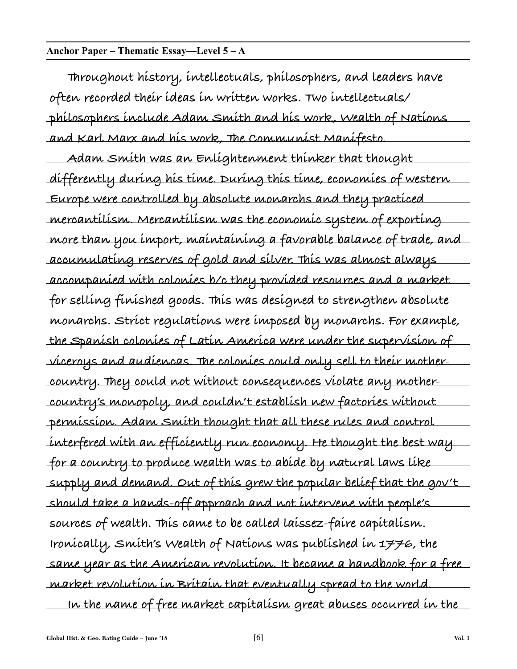#### **Anchor Paper – Thematic Essay—Level 5 – A**

**Throughout history, intellectuals, philosophers, and leaders have often recorded their ideas in written works. Two intellectuals/ philosophers include Adam Smith and his work, Wealth of Nations and Karl Marx and his work, The Communist Manifesto. Adam Smith was an Enlightenment thinker that thought differently during his time. During this time, economies of western Europe were controlled by absolute monarchs and they practiced mercantilism. Mercantilism was the economic system of exporting more than you import, maintaining a favorable balance of trade, and accumulating reserves of gold and silver. This was almost always accompanied with colonies b/c they provided resources and a market for selling finished goods. This was designed to strengthen absolute monarchs. Strict regulations were imposed by monarchs. For example, the Spanish colonies of Latin America were under the supervision of viceroys and audiencas. The colonies could only sell to their mothercountry. They could not without consequences violate any mothercountry's monopoly, and couldn't establish new factories without permission. Adam Smith thought that all these rules and control interfered with an efficiently run economy. He thought the best way for a country to produce wealth was to abide by natural laws like supply and demand. Out of this grew the popular belief that the gov't should take a hands-off approach and not intervene with people's sources of wealth. This came to be called laissez-faire capitalism. Ironically, Smith's Wealth of Nations was published in 1776, the same year as the American revolution. It became a handbook for a free market revolution in Britain that eventually spread to the world. In the name of free market capitalism great abuses occurred in the**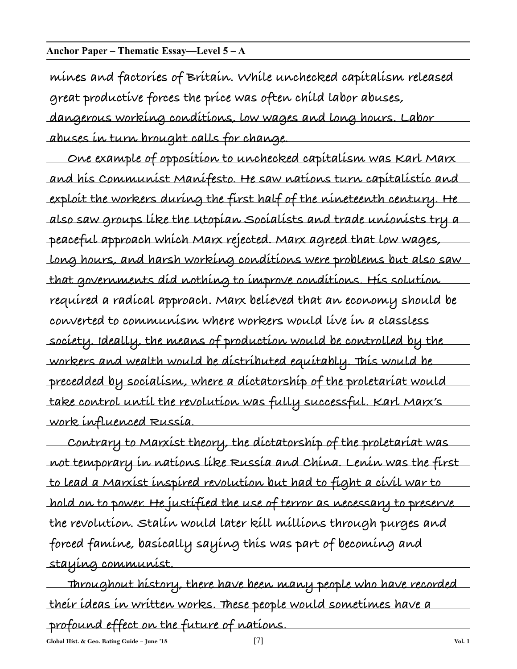#### **Anchor Paper – Thematic Essay—Level 5 – A**

**mines and factories of Britain. While unchecked capitalism released great productive forces the price was often child labor abuses,**

**dangerous working conditions, low wages and long hours. Labor abuses in turn brought calls for change.** 

**One example of opposition to unchecked capitalism was Karl Marx and his Communist Manifesto. He saw nations turn capitalistic and exploit the workers during the first half of the nineteenth century. He also saw groups like the Utopian Socialists and trade unionists try a peaceful approach which Marx rejected. Marx agreed that low wages, long hours, and harsh working conditions were problems but also saw that governments did nothing to improve conditions. His solution required a radical approach. Marx believed that an economy should be converted to communism where workers would live in a classless society. Ideally, the means of production would be controlled by the workers and wealth would be distributed equitably. This would be precedded by socialism, where a dictatorship of the proletariat would take control until the revolution was fully successful. Karl Marx's work influenced Russia.**

**Contrary to Marxist theory, the dictatorship of the proletariat was not temporary in nations like Russia and China. Lenin was the first to lead a Marxist inspired revolution but had to fight a civil war to hold on to power. He justified the use of terror as necessary to preserve the revolution. Stalin would later kill millions through purges and forced famine, basically saying this was part of becoming and staying communist.**

**Throughout history, there have been many people who have recorded their ideas in written works. These people would sometimes have a profound effect on the future of nations.**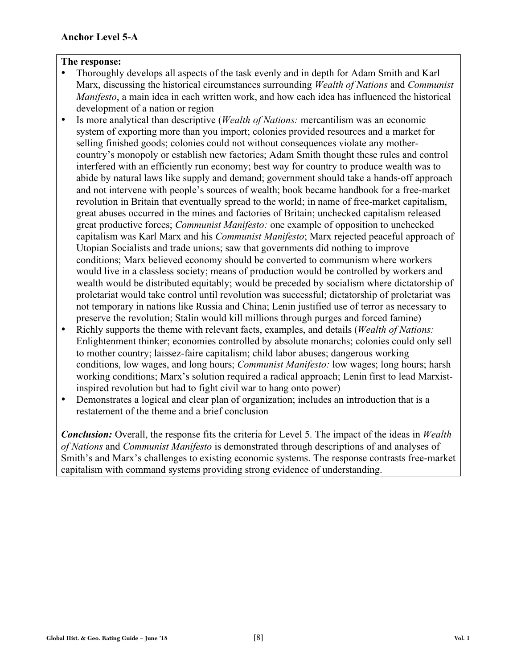- Thoroughly develops all aspects of the task evenly and in depth for Adam Smith and Karl Marx, discussing the historical circumstances surrounding *Wealth of Nations* and *Communist Manifesto*, a main idea in each written work, and how each idea has influenced the historical development of a nation or region
- Is more analytical than descriptive (*Wealth of Nations:* mercantilism was an economic system of exporting more than you import; colonies provided resources and a market for selling finished goods; colonies could not without consequences violate any mothercountry's monopoly or establish new factories; Adam Smith thought these rules and control interfered with an efficiently run economy; best way for country to produce wealth was to abide by natural laws like supply and demand; government should take a hands-off approach and not intervene with people's sources of wealth; book became handbook for a free-market revolution in Britain that eventually spread to the world; in name of free-market capitalism, great abuses occurred in the mines and factories of Britain; unchecked capitalism released great productive forces; *Communist Manifesto:* one example of opposition to unchecked capitalism was Karl Marx and his *Communist Manifesto*; Marx rejected peaceful approach of Utopian Socialists and trade unions; saw that governments did nothing to improve conditions; Marx believed economy should be converted to communism where workers would live in a classless society; means of production would be controlled by workers and wealth would be distributed equitably; would be preceded by socialism where dictatorship of proletariat would take control until revolution was successful; dictatorship of proletariat was not temporary in nations like Russia and China; Lenin justified use of terror as necessary to preserve the revolution; Stalin would kill millions through purges and forced famine)
- Richly supports the theme with relevant facts, examples, and details (*Wealth of Nations:* Enlightenment thinker; economies controlled by absolute monarchs; colonies could only sell to mother country; laissez-faire capitalism; child labor abuses; dangerous working conditions, low wages, and long hours; *Communist Manifesto:* low wages; long hours; harsh working conditions; Marx's solution required a radical approach; Lenin first to lead Marxistinspired revolution but had to fight civil war to hang onto power)
- Demonstrates a logical and clear plan of organization; includes an introduction that is a restatement of the theme and a brief conclusion

*Conclusion:* Overall, the response fits the criteria for Level 5. The impact of the ideas in *Wealth of Nations* and *Communist Manifesto* is demonstrated through descriptions of and analyses of Smith's and Marx's challenges to existing economic systems. The response contrasts free-market capitalism with command systems providing strong evidence of understanding.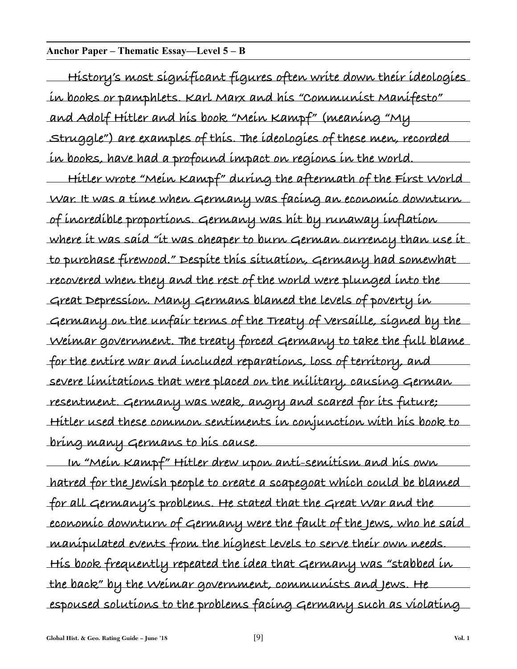#### **Anchor Paper – Thematic Essay—Level 5 – B**

**History's most significant figures often write down their ideologies in books or pamphlets. Karl Marx and his "Communist Manifesto" and Adolf Hitler and his book "Mein Kampf" (meaning "My Struggle") are examples of this. The ideologies of these men, recorded in books, have had a profound impact on regions in the world.**

**Hitler wrote "Mein Kampf" during the aftermath of the First World War. It was a time when Germany was facing an economic downturn of incredible proportions. Germany was hit by runaway inflation where it was said "it was cheaper to burn German currency than use it to purchase firewood." Despite this situation, Germany had somewhat recovered when they and the rest of the world were plunged into the Great Depression. Many Germans blamed the levels of poverty in Germany on the unfair terms of the Treaty of Versaille, signed by the Weimar government. The treaty forced Germany to take the full blame for the entire war and included reparations, loss of territory, and severe limitations that were placed on the military, causing German resentment. Germany was weak, angry and scared for its future; Hitler used these common sentiments in conjunction with his book to bring many Germans to his cause.**

**In "Mein Kampf" Hitler drew upon anti-semitism and his own hatred for the Jewish people to create a scapegoat which could be blamed for all Germany's problems. He stated that the Great War and the economic downturn of Germany were the fault of the Jews, who he said manipulated events from the highest levels to serve their own needs. His book frequently repeated the idea that Germany was "stabbed in the back" by the Weimar government, communists and Jews. He espoused solutions to the problems facing Germany such as violating**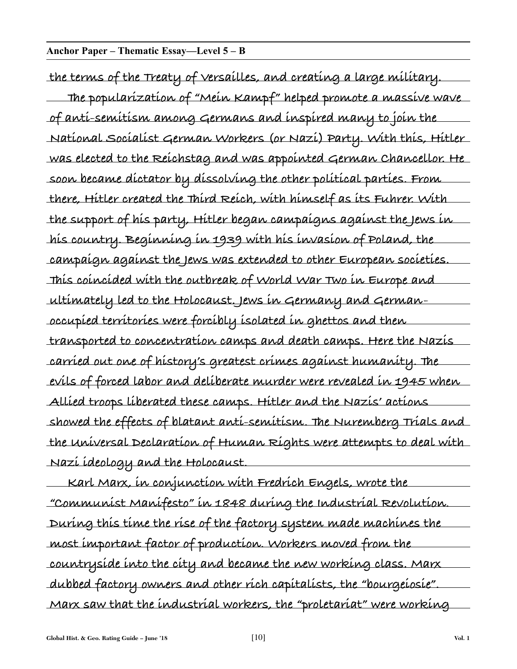**the terms of the Treaty of Versailles, and creating a large military. The popularization of "Mein Kampf" helped promote a massive wave of anti-semitism among Germans and inspired many to join the National Socialist German Workers (or Nazi) Party. With this, Hitler was elected to the Reichstag and was appointed German Chancellor. He soon became dictator by dissolving the other political parties. From there, Hitler created the Third Reich, with himself as its Fuhrer. With the support of his party, Hitler began campaigns against the Jews in his country. Beginning in 1939 with his invasion of Poland, the campaign against the Jews was extended to other European societies. This coincided with the outbreak of World War Two in Europe and ultimately led to the Holocaust. Jews in Germany and Germanoccupied territories were forcibly isolated in ghettos and then transported to concentration camps and death camps. Here the Nazis carried out one of history's greatest crimes against humanity. The evils of forced labor and deliberate murder were revealed in 1945 when Allied troops liberated these camps. Hitler and the Nazis' actions showed the effects of blatant anti-semitism. The Nuremberg Trials and the Universal Declaration of Human Rights were attempts to deal with Nazi ideology and the Holocaust.**

**Karl Marx, in conjunction with Fredrich Engels, wrote the "Communist Manifesto" in 1848 during the Industrial Revolution. During this time the rise of the factory system made machines the most important factor of production. Workers moved from the countryside into the city and became the new working class. Marx dubbed factory owners and other rich capitalists, the "bourgeiosie". Marx saw that the industrial workers, the "proletariat" were working**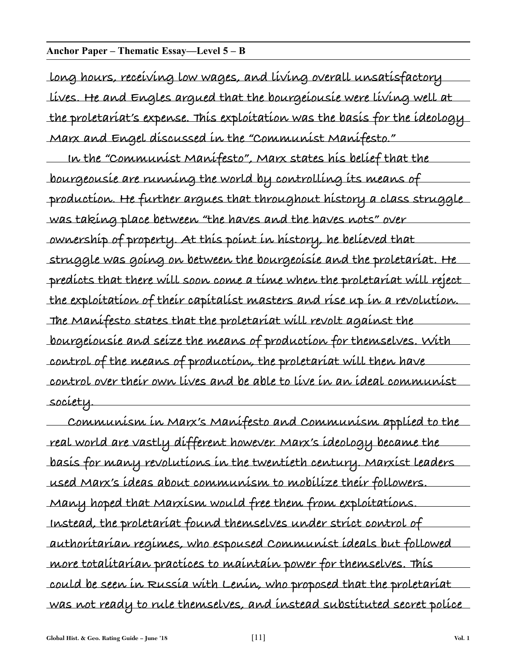#### **Anchor Paper – Thematic Essay—Level 5 – B**

**long hours, receiving low wages, and living overall unsatisfactory lives. He and Engles argued that the bourgeiousie were living well at the proletariat's expense. This exploitation was the basis for the ideology Marx and Engel discussed in the "Communist Manifesto."**

**In the "Communist Manifesto", Marx states his belief that the bourgeousie are running the world by controlling its means of production. He further argues that throughout history a class struggle was taking place between "the haves and the haves nots" over ownership of property. At this point in history, he believed that struggle was going on between the bourgeoisie and the proletariat. He predicts that there will soon come a time when the proletariat will reject the exploitation of their capitalist masters and rise up in a revolution. The Manifesto states that the proletariat will revolt against the bourgeiousie and seize the means of production for themselves. With control of the means of production, the proletariat will then have control over their own lives and be able to live in an ideal communist society.**

**Communism in Marx's Manifesto and Communism applied to the real world are vastly different however. Marx's ideology became the basis for many revolutions in the twentieth century. Marxist leaders used Marx's ideas about communism to mobilize their followers. Many hoped that Marxism would free them from exploitations. Instead, the proletariat found themselves under strict control of authoritarian regimes, who espoused Communist ideals but followed more totalitarian practices to maintain power for themselves. This could be seen in Russia with Lenin, who proposed that the proletariat was not ready to rule themselves, and instead substituted secret police**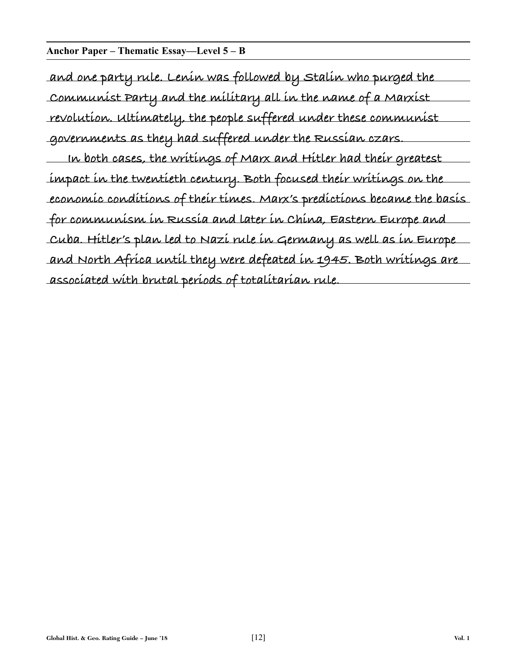#### **Anchor Paper – Thematic Essay—Level 5 – B**

**and one party rule. Lenin was followed by Stalin who purged the Communist Party and the military all in the name of a Marxist revolution. Ultimately, the people suffered under these communist governments as they had suffered under the Russian czars. In both cases, the writings of Marx and Hitler had their greatest impact in the twentieth century. Both focused their writings on the economic conditions of their times. Marx's predictions became the basis for communism in Russia and later in China, Eastern Europe and Cuba. Hitler's plan led to Nazi rule in Germany as well as in Europe and North Africa until they were defeated in 1945. Both writings are associated with brutal periods of totalitarian rule.**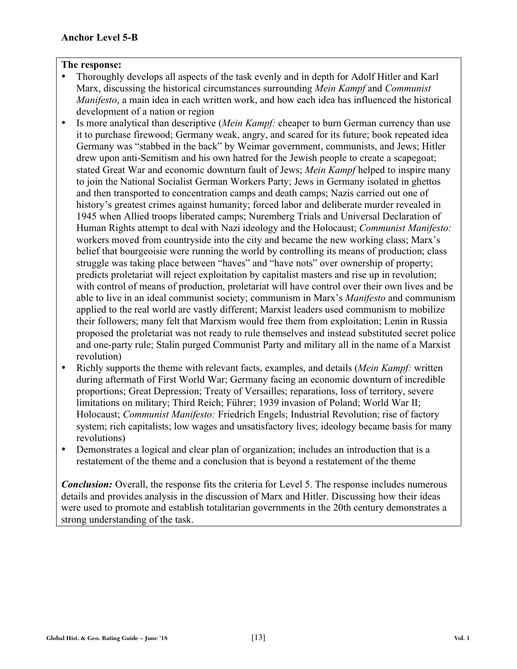- Thoroughly develops all aspects of the task evenly and in depth for Adolf Hitler and Karl Marx, discussing the historical circumstances surrounding *Mein Kampf* and *Communist Manifesto*, a main idea in each written work, and how each idea has influenced the historical development of a nation or region
- Is more analytical than descriptive (*Mein Kampf:* cheaper to burn German currency than use it to purchase firewood; Germany weak, angry, and scared for its future; book repeated idea Germany was "stabbed in the back" by Weimar government, communists, and Jews; Hitler drew upon anti-Semitism and his own hatred for the Jewish people to create a scapegoat; stated Great War and economic downturn fault of Jews; *Mein Kampf* helped to inspire many to join the National Socialist German Workers Party; Jews in Germany isolated in ghettos and then transported to concentration camps and death camps; Nazis carried out one of history's greatest crimes against humanity; forced labor and deliberate murder revealed in 1945 when Allied troops liberated camps; Nuremberg Trials and Universal Declaration of Human Rights attempt to deal with Nazi ideology and the Holocaust; *Communist Manifesto:* workers moved from countryside into the city and became the new working class; Marx's belief that bourgeoisie were running the world by controlling its means of production; class struggle was taking place between "haves" and "have nots" over ownership of property; predicts proletariat will reject exploitation by capitalist masters and rise up in revolution; with control of means of production, proletariat will have control over their own lives and be able to live in an ideal communist society; communism in Marx's *Manifesto* and communism applied to the real world are vastly different; Marxist leaders used communism to mobilize their followers; many felt that Marxism would free them from exploitation; Lenin in Russia proposed the proletariat was not ready to rule themselves and instead substituted secret police and one-party rule; Stalin purged Communist Party and military all in the name of a Marxist revolution)
- Richly supports the theme with relevant facts, examples, and details (*Mein Kampf:* written during aftermath of First World War; Germany facing an economic downturn of incredible proportions; Great Depression; Treaty of Versailles; reparations, loss of territory, severe limitations on military; Third Reich; Führer; 1939 invasion of Poland; World War II; Holocaust; *Communist Manifesto:* Friedrich Engels; Industrial Revolution; rise of factory system; rich capitalists; low wages and unsatisfactory lives; ideology became basis for many revolutions)
- Demonstrates a logical and clear plan of organization; includes an introduction that is a restatement of the theme and a conclusion that is beyond a restatement of the theme

*Conclusion:* Overall, the response fits the criteria for Level 5. The response includes numerous details and provides analysis in the discussion of Marx and Hitler. Discussing how their ideas were used to promote and establish totalitarian governments in the 20th century demonstrates a strong understanding of the task.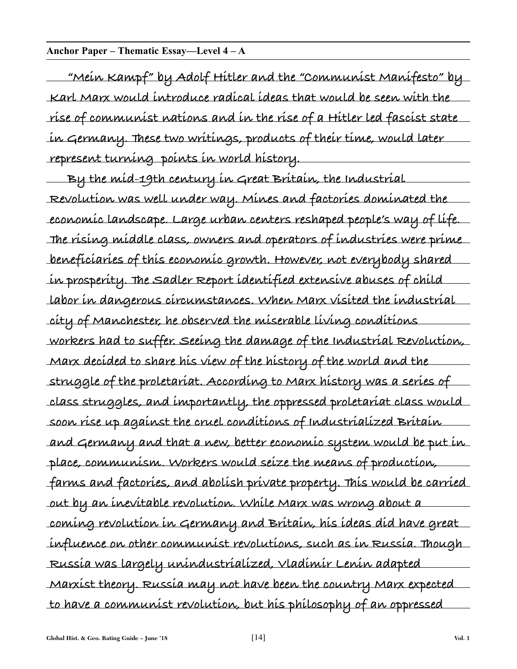#### **Anchor Paper – Thematic Essay—Level 4 – A**

**"Mein Kampf" by Adolf Hitler and the "Communist Manifesto" by Karl Marx would introduce radical ideas that would be seen with the rise of communist nations and in the rise of a Hitler led fascist state in Germany. These two writings, products of their time, would later represent turning points in world history.**

**By the mid-19th century in Great Britain, the Industrial Revolution was well under way. Mines and factories dominated the economic landscape. Large urban centers reshaped people's way of life. The rising middle class, owners and operators of industries were prime beneficiaries of this economic growth. However, not everybody shared in prosperity. The Sadler Report identified extensive abuses of child labor in dangerous circumstances. When Marx visited the industrial city of Manchester, he observed the miserable living conditions workers had to suffer. Seeing the damage of the Industrial Revolution, Marx decided to share his view of the history of the world and the struggle of the proletariat. According to Marx history was a series of class struggles, and importantly, the oppressed proletariat class would soon rise up against the cruel conditions of Industrialized Britain and Germany and that a new, better economic system would be put in place, communism. Workers would seize the means of production, farms and factories, and abolish private property. This would be carried out by an inevitable revolution. While Marx was wrong about a coming revolution in Germany and Britain, his ideas did have great influence on other communist revolutions, such as in Russia. Though Russia was largely unindustrialized, Vladimir Lenin adapted Marxist theory. Russia may not have been the country Marx expected to have a communist revolution, but his philosophy of an oppressed**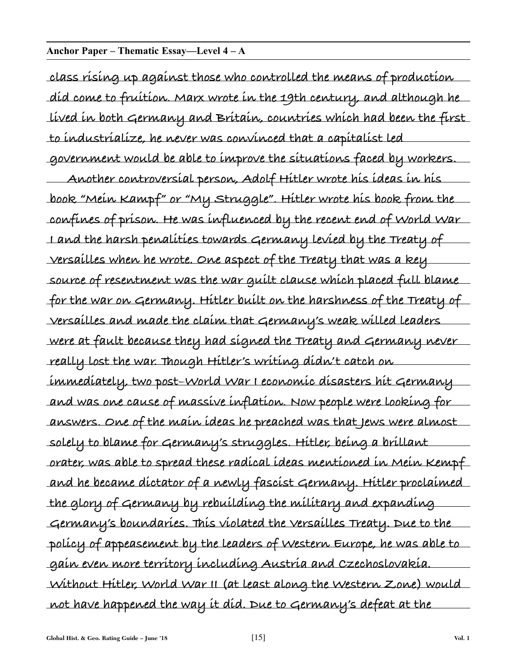#### **Anchor Paper – Thematic Essay—Level 4 – A**

**class rising up against those who controlled the means of production did come to fruition. Marx wrote in the 19th century, and although he lived in both Germany and Britain, countries which had been the first to industrialize, he never was convinced that a capitalist led government would be able to improve the situations faced by workers.**

**Another controversial person, Adolf Hitler wrote his ideas in his book "Mein Kampf" or "My Struggle". Hitler wrote his book from the confines of prison. He was influenced by the recent end of World War I and the harsh penalities towards Germany levied by the Treaty of Versailles when he wrote. One aspect of the Treaty that was a key source of resentment was the war guilt clause which placed full blame for the war on Germany. Hitler built on the harshness of the Treaty of Versailles and made the claim that Germany's weak willed leaders were at fault because they had signed the Treaty and Germany never really lost the war. Though Hitler's writing didn't catch on immediately, two post–World War I economic disasters hit Germany and was one cause of massive inflation. Now people were looking for answers. One of the main ideas he preached was that Jews were almost solely to blame for Germany's struggles. Hitler, being a brillant orater, was able to spread these radical ideas mentioned in Mein Kempf and he became dictator of a newly fascist Germany. Hitler proclaimed the glory of Germany by rebuilding the military and expanding Germany's boundaries. This violated the Versailles Treaty. Due to the policy of appeasement by the leaders of Western Europe, he was able to gain even more territory including Austria and Czechoslovakia. Without Hitler, World War II (at least along the Western Zone) would not have happened the way it did. Due to Germany's defeat at the**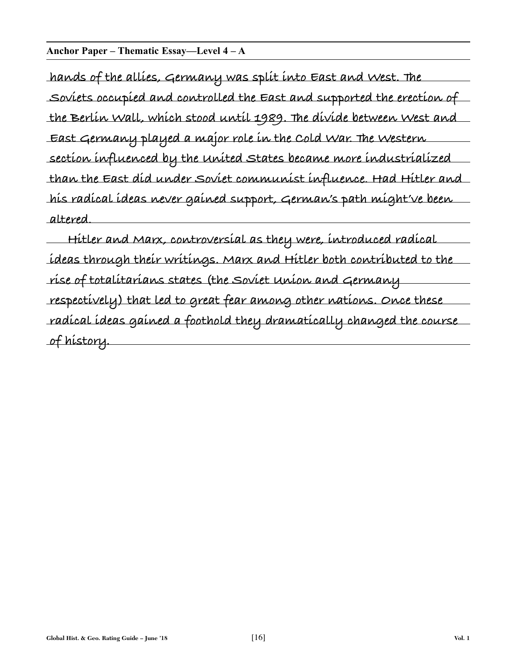**Anchor Paper – Thematic Essay—Level 4 – A**

**hands of the allies, Germany was split into East and West. The Soviets occupied and controlled the East and supported the erection of the Berlin Wall, which stood until 1989. The divide between West and East Germany played a major role in the Cold War. The Western section influenced by the United States became more industrialized than the East did under Soviet communist influence. Had Hitler and his radical ideas never gained support, German's path might've been altered.**

**Hitler and Marx, controversial as they were, introduced radical ideas through their writings. Marx and Hitler both contributed to the rise of totalitarians states (the Soviet Union and Germany respectively) that led to great fear among other nations. Once these radical ideas gained a foothold they dramatically changed the course of history.**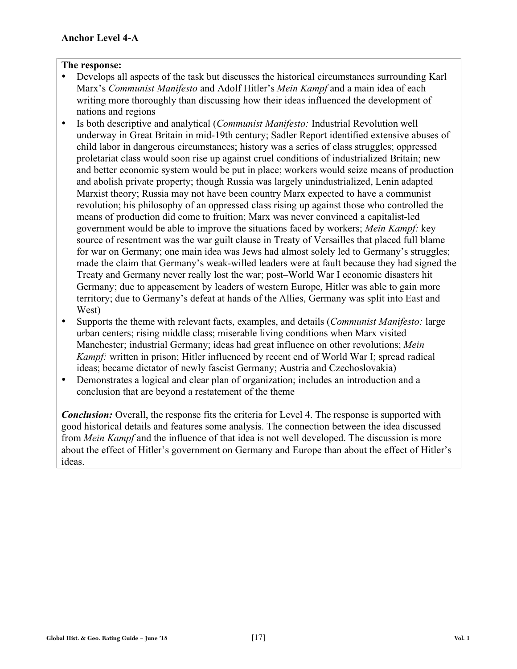- Develops all aspects of the task but discusses the historical circumstances surrounding Karl Marx's *Communist Manifesto* and Adolf Hitler's *Mein Kampf* and a main idea of each writing more thoroughly than discussing how their ideas influenced the development of nations and regions
- Is both descriptive and analytical (*Communist Manifesto:* Industrial Revolution well underway in Great Britain in mid-19th century; Sadler Report identified extensive abuses of child labor in dangerous circumstances; history was a series of class struggles; oppressed proletariat class would soon rise up against cruel conditions of industrialized Britain; new and better economic system would be put in place; workers would seize means of production and abolish private property; though Russia was largely unindustrialized, Lenin adapted Marxist theory; Russia may not have been country Marx expected to have a communist revolution; his philosophy of an oppressed class rising up against those who controlled the means of production did come to fruition; Marx was never convinced a capitalist-led government would be able to improve the situations faced by workers; *Mein Kampf:* key source of resentment was the war guilt clause in Treaty of Versailles that placed full blame for war on Germany; one main idea was Jews had almost solely led to Germany's struggles; made the claim that Germany's weak-willed leaders were at fault because they had signed the Treaty and Germany never really lost the war; post–World War I economic disasters hit Germany; due to appeasement by leaders of western Europe, Hitler was able to gain more territory; due to Germany's defeat at hands of the Allies, Germany was split into East and West)
- Supports the theme with relevant facts, examples, and details (*Communist Manifesto:* large urban centers; rising middle class; miserable living conditions when Marx visited Manchester; industrial Germany; ideas had great influence on other revolutions; *Mein Kampf:* written in prison; Hitler influenced by recent end of World War I; spread radical ideas; became dictator of newly fascist Germany; Austria and Czechoslovakia)
- Demonstrates a logical and clear plan of organization; includes an introduction and a conclusion that are beyond a restatement of the theme

*Conclusion:* Overall, the response fits the criteria for Level 4. The response is supported with good historical details and features some analysis. The connection between the idea discussed from *Mein Kampf* and the influence of that idea is not well developed. The discussion is more about the effect of Hitler's government on Germany and Europe than about the effect of Hitler's ideas.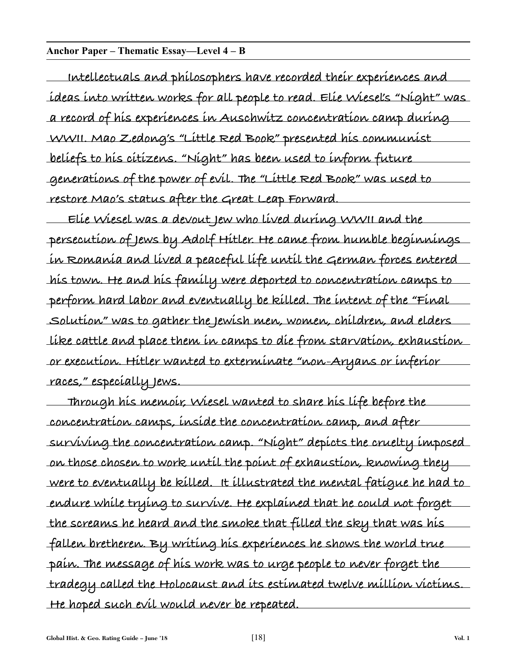#### **Anchor Paper – Thematic Essay—Level 4 – B**

**Intellectuals and philosophers have recorded their experiences and ideas into written works for all people to read. Elie Wiesel's "Night" was a record of his experiences in Auschwitz concentration camp during WWII. Mao Zedong's "Little Red Book" presented his communist beliefs to his citizens. "Night" has been used to inform future generations of the power of evil. The "Little Red Book" was used to restore Mao's status after the Great Leap Forward.**

**Elie Wiesel was a devout Jew who lived during WWII and the persecution of Jews by Adolf Hitler. He came from humble beginnings in Romania and lived a peaceful life until the German forces entered his town. He and his family were deported to concentration camps to perform hard labor and eventually be killed. The intent of the "Final Solution" was to gather the Jewish men, women, children, and elders like cattle and place them in camps to die from starvation, exhaustion or execution. Hitler wanted to exterminate "non-Aryans or inferior races," especially Jews.**

**Through his memoir, Wiesel wanted to share his life before the concentration camps, inside the concentration camp, and after surviving the concentration camp. "Night" depicts the cruelty imposed on those chosen to work until the point of exhaustion, knowing they were to eventually be killed. It illustrated the mental fatigue he had to endure while trying to survive. He explained that he could not forget the screams he heard and the smoke that filled the sky that was his fallen bretheren. By writing his experiences he shows the world true pain. The message of his work was to urge people to never forget the tradegy called the Holocaust and its estimated twelve million victims. He hoped such evil would never be repeated.**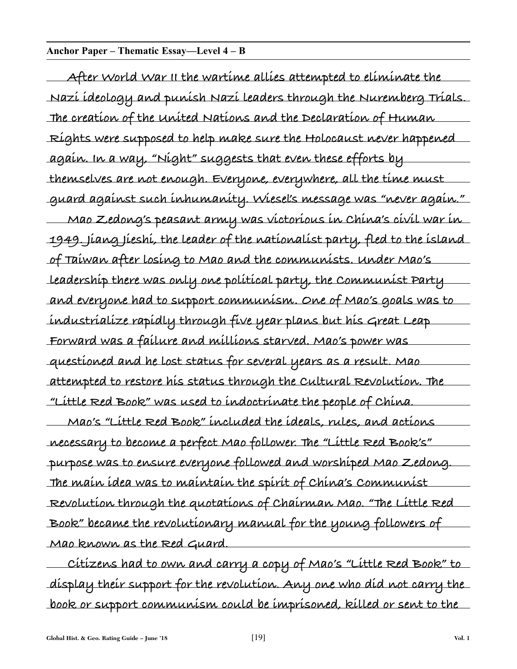#### **Anchor Paper – Thematic Essay—Level 4 – B**

**After World War II the wartime allies attempted to eliminate the Nazi ideology and punish Nazi leaders through the Nuremberg Trials. The creation of the United Nations and the Declaration of Human Rights were supposed to help make sure the Holocaust never happened again. In a way, "Night" suggests that even these efforts by themselves are not enough. Everyone, everywhere, all the time must guard against such inhumanity. Wiesel's message was "never again." Mao Zedong's peasant army was victorious in China's civil war in 1949. Jiang Jieshi, the leader of the nationalist party, fled to the island of Taiwan after losing to Mao and the communists. Under Mao's leadership there was only one political party, the Communist Party and everyone had to support communism. One of Mao's goals was to industrialize rapidly through five year plans but his Great Leap Forward was a failure and millions starved. Mao's power was questioned and he lost status for several years as a result. Mao attempted to restore his status through the Cultural Revolution. The "Little Red Book" was used to indoctrinate the people of China.**

**Mao's "Little Red Book" included the ideals, rules, and actions necessary to become a perfect Mao follower. The "Little Red Book's" purpose was to ensure everyone followed and worshiped Mao Zedong. The main idea was to maintain the spirit of China's Communist Revolution through the quotations of Chairman Mao. "The Little Red Book" became the revolutionary manual for the young followers of Mao known as the Red Guard.**

**Citizens had to own and carry a copy of Mao's "Little Red Book" to display their support for the revolution. Any one who did not carry the book or support communism could be imprisoned, killed or sent to the**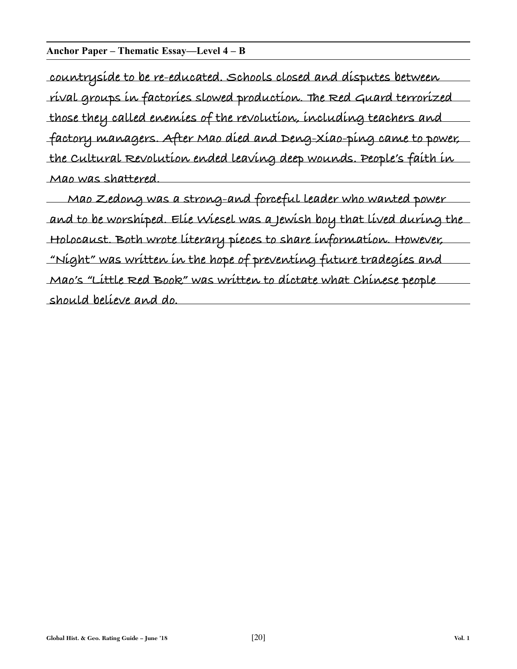#### **Anchor Paper – Thematic Essay—Level 4 – B**

**countryside to be re-educated. Schools closed and disputes between rival groups in factories slowed production. The Red Guard terrorized those they called enemies of the revolution, including teachers and factory managers. After Mao died and Deng-Xiao-ping came to power, the Cultural Revolution ended leaving deep wounds. People's faith in Mao was shattered.**

**Mao Zedong was a strong-and forceful leader who wanted power and to be worshiped. Elie Wiesel was a Jewish boy that lived during the Holocaust. Both wrote literary pieces to share information. However, "Night" was written in the hope of preventing future tradegies and Mao's "Little Red Book" was written to dictate what Chinese people should believe and do.**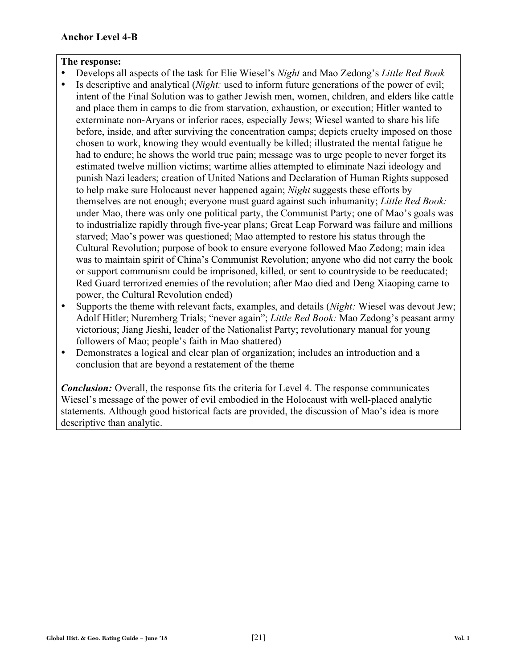- Develops all aspects of the task for Elie Wiesel's *Night* and Mao Zedong's *Little Red Book*
- Is descriptive and analytical (*Night:* used to inform future generations of the power of evil; intent of the Final Solution was to gather Jewish men, women, children, and elders like cattle and place them in camps to die from starvation, exhaustion, or execution; Hitler wanted to exterminate non-Aryans or inferior races, especially Jews; Wiesel wanted to share his life before, inside, and after surviving the concentration camps; depicts cruelty imposed on those chosen to work, knowing they would eventually be killed; illustrated the mental fatigue he had to endure; he shows the world true pain; message was to urge people to never forget its estimated twelve million victims; wartime allies attempted to eliminate Nazi ideology and punish Nazi leaders; creation of United Nations and Declaration of Human Rights supposed to help make sure Holocaust never happened again; *Night* suggests these efforts by themselves are not enough; everyone must guard against such inhumanity; *Little Red Book:* under Mao, there was only one political party, the Communist Party; one of Mao's goals was to industrialize rapidly through five-year plans; Great Leap Forward was failure and millions starved; Mao's power was questioned; Mao attempted to restore his status through the Cultural Revolution; purpose of book to ensure everyone followed Mao Zedong; main idea was to maintain spirit of China's Communist Revolution; anyone who did not carry the book or support communism could be imprisoned, killed, or sent to countryside to be reeducated; Red Guard terrorized enemies of the revolution; after Mao died and Deng Xiaoping came to power, the Cultural Revolution ended)
- Supports the theme with relevant facts, examples, and details (*Night:* Wiesel was devout Jew; Adolf Hitler; Nuremberg Trials; "never again"; *Little Red Book:* Mao Zedong's peasant army victorious; Jiang Jieshi, leader of the Nationalist Party; revolutionary manual for young followers of Mao; people's faith in Mao shattered)
- Demonstrates a logical and clear plan of organization; includes an introduction and a conclusion that are beyond a restatement of the theme

*Conclusion:* Overall, the response fits the criteria for Level 4. The response communicates Wiesel's message of the power of evil embodied in the Holocaust with well-placed analytic statements. Although good historical facts are provided, the discussion of Mao's idea is more descriptive than analytic.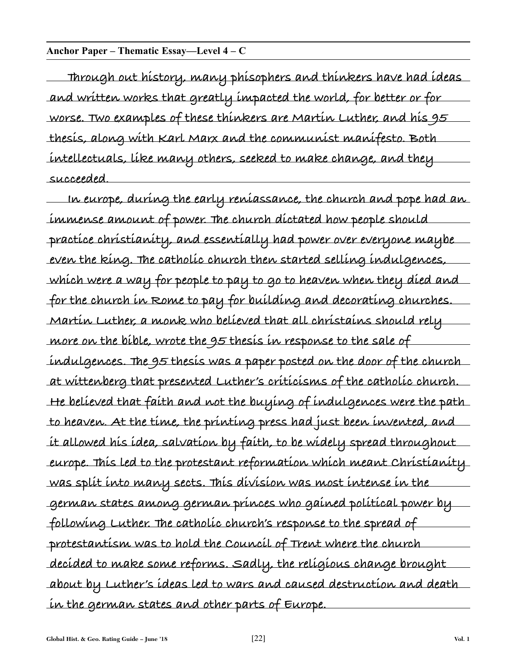#### **Anchor Paper – Thematic Essay—Level 4 – C**

**Through out history, many phisophers and thinkers have had ideas and written works that greatly impacted the world, for better or for worse. Two examples of these thinkers are Martin Luther, and his 95 thesis, along with Karl Marx and the communist manifesto. Both intellectuals, like many others, seeked to make change, and they succeeded.**

**In europe, during the early reniassance, the church and pope had an immense amount of power. The church dictated how people should practice christianity, and essentially had power over everyone maybe even the king. The catholic church then started selling indulgences, which were a way for people to pay to go to heaven when they died and for the church in Rome to pay for building and decorating churches. Martin Luther, a monk who believed that all christains should rely more on the bible, wrote the 95 thesis in response to the sale of indulgences. The 95 thesis was a paper posted on the door of the church at wittenberg that presented Luther's criticisms of the catholic church. He believed that faith and not the buying of indulgences were the path to heaven. At the time, the printing press had just been invented, and it allowed his idea, salvation by faith, to be widely spread throughout europe. This led to the protestant reformation which meant Christianity was split into many sects. This division was most intense in the german states among german princes who gained political power by following Luther. The catholic church's response to the spread of protestantism was to hold the Council of Trent where the church decided to make some reforms. Sadly, the religious change brought about by Luther's ideas led to wars and caused destruction and death in the german states and other parts of Europe.**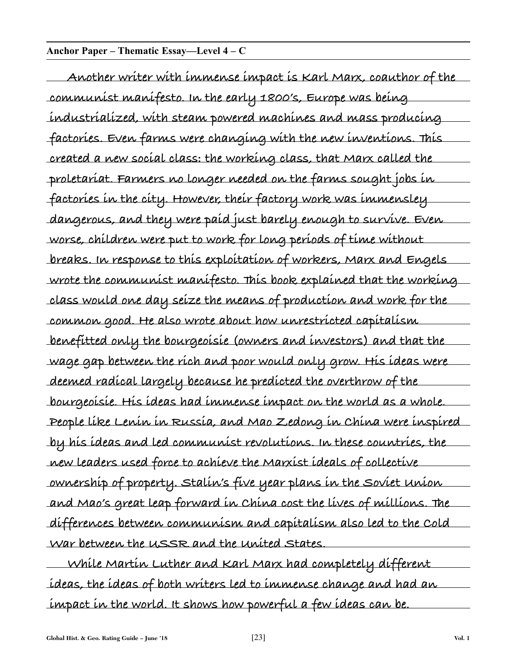#### **Anchor Paper – Thematic Essay—Level 4 – C**

**Another writer with immense impact is Karl Marx, coauthor of the communist manifesto. In the early 1800's, Europe was being industrialized, with steam powered machines and mass producing factories. Even farms were changing with the new inventions. This created a new social class: the working class, that Marx called the proletariat. Farmers no longer needed on the farms sought jobs in factories in the city. However, their factory work was immensley dangerous, and they were paid just barely enough to survive. Even worse, children were put to work for long periods of time without breaks. In response to this exploitation of workers, Marx and Engels wrote the communist manifesto. This book explained that the working class would one day seize the means of production and work for the common good. He also wrote about how unrestricted capitalism benefitted only the bourgeoisie (owners and investors) and that the wage gap between the rich and poor would only grow. His ideas were deemed radical largely because he predicted the overthrow of the bourgeoisie. His ideas had immense impact on the world as a whole. People like Lenin in Russia, and Mao Zedong in China were inspired by his ideas and led communist revolutions. In these countries, the new leaders used force to achieve the Marxist ideals of collective ownership of property. Stalin's five year plans in the Soviet Union and Mao's great leap forward in China cost the lives of millions. The differences between communism and capitalism also led to the Cold War between the USSR and the United States.**

**While Martin Luther and Karl Marx had completely different ideas, the ideas of both writers led to immense change and had an impact in the world. It shows how powerful a few ideas can be.**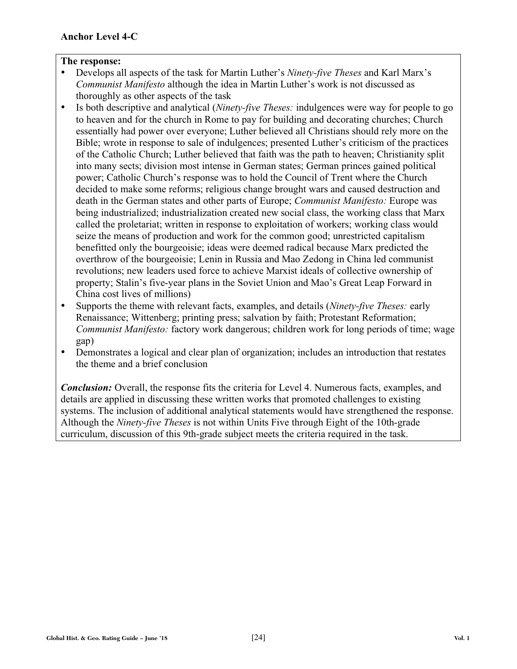- Develops all aspects of the task for Martin Luther's *Ninety-five Theses* and Karl Marx's *Communist Manifesto* although the idea in Martin Luther's work is not discussed as thoroughly as other aspects of the task
- Is both descriptive and analytical (*Ninety-five Theses:* indulgences were way for people to go to heaven and for the church in Rome to pay for building and decorating churches; Church essentially had power over everyone; Luther believed all Christians should rely more on the Bible; wrote in response to sale of indulgences; presented Luther's criticism of the practices of the Catholic Church; Luther believed that faith was the path to heaven; Christianity split into many sects; division most intense in German states; German princes gained political power; Catholic Church's response was to hold the Council of Trent where the Church decided to make some reforms; religious change brought wars and caused destruction and death in the German states and other parts of Europe; *Communist Manifesto:* Europe was being industrialized; industrialization created new social class, the working class that Marx called the proletariat; written in response to exploitation of workers; working class would seize the means of production and work for the common good; unrestricted capitalism benefitted only the bourgeoisie; ideas were deemed radical because Marx predicted the overthrow of the bourgeoisie; Lenin in Russia and Mao Zedong in China led communist revolutions; new leaders used force to achieve Marxist ideals of collective ownership of property; Stalin's five-year plans in the Soviet Union and Mao's Great Leap Forward in China cost lives of millions)
- Supports the theme with relevant facts, examples, and details (*Ninety-five Theses:* early Renaissance; Wittenberg; printing press; salvation by faith; Protestant Reformation; *Communist Manifesto:* factory work dangerous; children work for long periods of time; wage gap)
- Demonstrates a logical and clear plan of organization; includes an introduction that restates the theme and a brief conclusion

*Conclusion:* Overall, the response fits the criteria for Level 4. Numerous facts, examples, and details are applied in discussing these written works that promoted challenges to existing systems. The inclusion of additional analytical statements would have strengthened the response. Although the *Ninety-five Theses* is not within Units Five through Eight of the 10th-grade curriculum, discussion of this 9th-grade subject meets the criteria required in the task.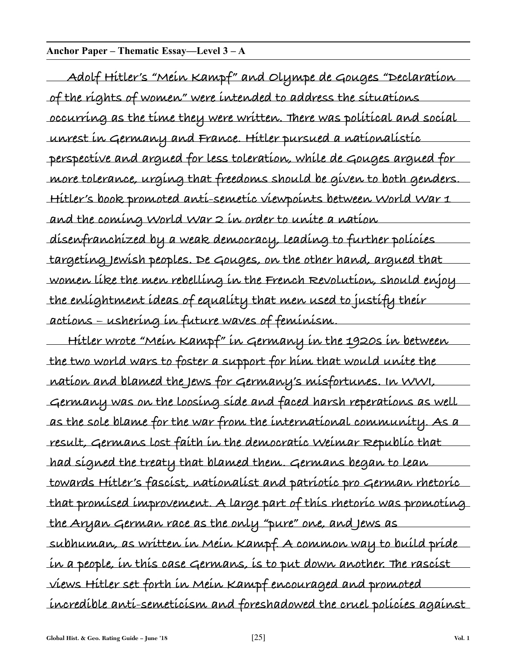#### **Anchor Paper – Thematic Essay—Level 3 – A**

**Adolf Hitler's "Mein Kampf" and Olympe de Gouges "Declaration of the rights of women" were intended to address the situations occurring as the time they were written. There was political and social unrest in Germany and France. Hitler pursued a nationalistic perspective and argued for less toleration, while de Gouges argued for more tolerance, urging that freedoms should be given to both genders. Hitler's book promoted anti-semetic viewpoints between World War 1 and the coming World War 2 in order to unite a nation disenfranchized by a weak democracy, leading to further policies targeting Jewish peoples. De Gouges, on the other hand, argued that women like the men rebelling in the French Revolution, should enjoy the enlightment ideas of equality that men used to justify their actions – ushering in future waves of feminism.**

**Hitler wrote "Mein Kampf" in Germany in the 1920s in between the two world wars to foster a support for him that would unite the nation and blamed the Jews for Germany's misfortunes. In WWI, Germany was on the loosing side and faced harsh reperations as well as the sole blame for the war from the international community. As a result, Germans lost faith in the democratic Weimar Republic that had signed the treaty that blamed them. Germans began to lean towards Hitler's fascist, nationalist and patriotic pro German rhetoric that promised improvement. A large part of this rhetoric was promoting the Aryan German race as the only "pure" one, and Jews as subhuman, as written in Mein Kampf. A common way to build pride in a people, in this case Germans, is to put down another. The rascist views Hitler set forth in Mein Kampf encouraged and promoted incredible anti-semeticism and foreshadowed the cruel policies against**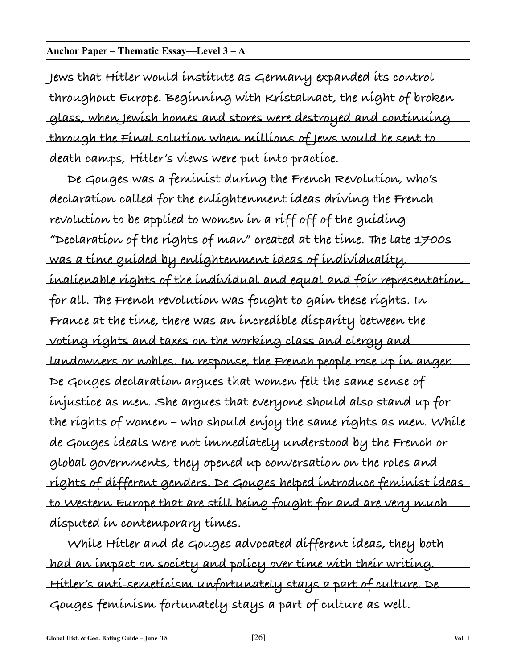#### **Anchor Paper – Thematic Essay—Level 3 – A**

**Jews that Hitler would institute as Germany expanded its control throughout Europe. Beginning with Kristalnact, the night of broken glass, when Jewish homes and stores were destroyed and continuing through the Final solution when millions of Jews would be sent to death camps, Hitler's views were put into practice.**

**De Gouges was a feminist during the French Revolution, who's declaration called for the enlightenment ideas driving the French revolution to be applied to women in a riff off of the guiding "Declaration of the rights of man" created at the time. The late 1700s was a time guided by enlightenment ideas of individuality, inalienable rights of the individual and equal and fair representation for all. The French revolution was fought to gain these rights. In France at the time, there was an incredible disparity between the voting rights and taxes on the working class and clergy and landowners or nobles. In response, the French people rose up in anger. De Gouges declaration argues that women felt the same sense of injustice as men. She argues that everyone should also stand up for the rights of women – who should enjoy the same rights as men. While de Gouges ideals were not immediately understood by the French or global governments, they opened up conversation on the roles and rights of different genders. De Gouges helped introduce feminist ideas to Western Europe that are still being fought for and are very much disputed in contemporary times.**

**While Hitler and de Gouges advocated different ideas, they both had an impact on society and policy over time with their writing. Hitler's anti-semeticism unfortunately stays a part of culture. De Gouges feminism fortunately stays a part of culture as well.**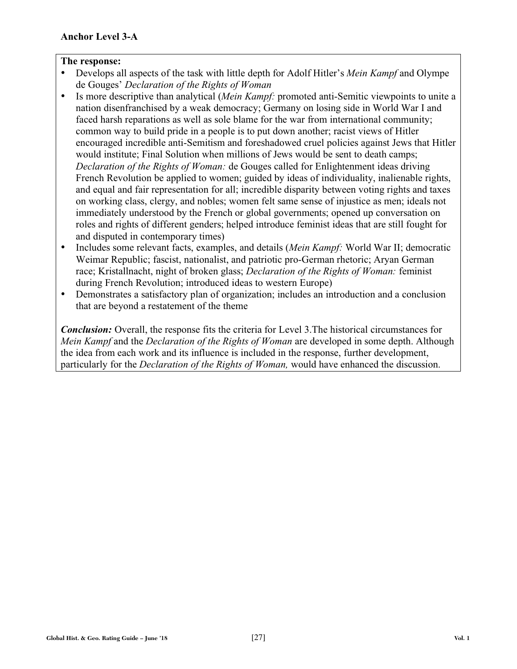- Develops all aspects of the task with little depth for Adolf Hitler's *Mein Kampf* and Olympe de Gouges' *Declaration of the Rights of Woman*
- Is more descriptive than analytical (*Mein Kampf:* promoted anti-Semitic viewpoints to unite a nation disenfranchised by a weak democracy; Germany on losing side in World War I and faced harsh reparations as well as sole blame for the war from international community; common way to build pride in a people is to put down another; racist views of Hitler encouraged incredible anti-Semitism and foreshadowed cruel policies against Jews that Hitler would institute; Final Solution when millions of Jews would be sent to death camps; *Declaration of the Rights of Woman:* de Gouges called for Enlightenment ideas driving French Revolution be applied to women; guided by ideas of individuality, inalienable rights, and equal and fair representation for all; incredible disparity between voting rights and taxes on working class, clergy, and nobles; women felt same sense of injustice as men; ideals not immediately understood by the French or global governments; opened up conversation on roles and rights of different genders; helped introduce feminist ideas that are still fought for and disputed in contemporary times)
- Includes some relevant facts, examples, and details (*Mein Kampf:* World War II; democratic Weimar Republic; fascist, nationalist, and patriotic pro-German rhetoric; Aryan German race; Kristallnacht, night of broken glass; *Declaration of the Rights of Woman:* feminist during French Revolution; introduced ideas to western Europe)
- Demonstrates a satisfactory plan of organization; includes an introduction and a conclusion that are beyond a restatement of the theme

*Conclusion:* Overall, the response fits the criteria for Level 3.The historical circumstances for *Mein Kampf* and the *Declaration of the Rights of Woman* are developed in some depth. Although the idea from each work and its influence is included in the response, further development, particularly for the *Declaration of the Rights of Woman,* would have enhanced the discussion.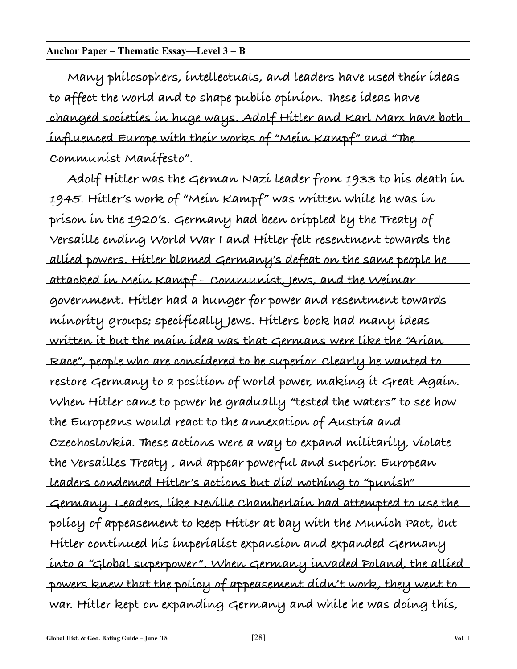#### **Anchor Paper – Thematic Essay—Level 3 – B**

**Many philosophers, intellectuals, and leaders have used their ideas to affect the world and to shape public opinion. These ideas have changed societies in huge ways. Adolf Hitler and Karl Marx have both influenced Europe with their works of "Mein Kampf" and "The Communist Manifesto".**

**Adolf Hitler was the German Nazi leader from 1933 to his death in 1945. Hitler's work of "Mein Kampf" was written while he was in prison in the 1920's. Germany had been crippled by the Treaty of Versaille ending World War I and Hitler felt resentment towards the allied powers. Hitler blamed Germany's defeat on the same people he attacked in Mein Kampf – Communist, Jews, and the Weimar government. Hitler had a hunger for power and resentment towards minority groups; specifically Jews. Hitlers book had many ideas written it but the main idea was that Germans were like the "Arian Race", people who are considered to be superior. Clearly he wanted to restore Germany to a position of world power, making it Great Again. When Hitler came to power he gradually "tested the waters" to see how the Europeans would react to the annexation of Austria and Czechoslovkia. These actions were a way to expand militarily, violate the Versailles Treaty , and appear powerful and superior. European leaders condemed Hitler's actions but did nothing to "punish" Germany. Leaders, like Neville Chamberlain had attempted to use the policy of appeasement to keep Hitler at bay with the Munich Pact, but Hitler continued his imperialist expansion and expanded Germany into a "Global superpower". When Germany invaded Poland, the allied powers knew that the policy of appeasement didn't work, they went to war. Hitler kept on expanding Germany and while he was doing this,**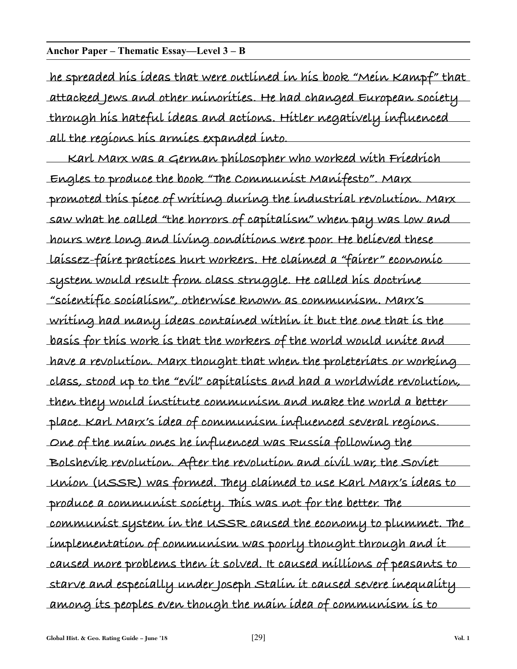#### **Anchor Paper – Thematic Essay—Level 3 – B**

**he spreaded his ideas that were outlined in his book "Mein Kampf" that attacked Jews and other minorities. He had changed European society through his hateful ideas and actions. Hitler negatively influenced all the regions his armies expanded into.**

**Karl Marx was a German philosopher who worked with Friedrich Engles to produce the book "The Communist Manifesto". Marx promoted this piece of writing during the industrial revolution. Marx saw what he called "the horrors of capitalism" when pay was low and hours were long and living conditions were poor. He believed these laissez-faire practices hurt workers. He claimed a "fairer" economic system would result from class struggle. He called his doctrine "scientific socialism", otherwise known as communism. Marx's writing had many ideas contained within it but the one that is the basis for this work is that the workers of the world would unite and have a revolution. Marx thought that when the proleteriats or working class, stood up to the "evil" capitalists and had a worldwide revolution, then they would institute communism and make the world a better place. Karl Marx's idea of communism influenced several regions. One of the main ones he influenced was Russia following the Bolshevik revolution. After the revolution and civil war, the Soviet Union (USSR) was formed. They claimed to use Karl Marx's ideas to produce a communist society. This was not for the better. The communist system in the USSR caused the economy to plummet. The implementation of communism was poorly thought through and it caused more problems then it solved. It caused millions of peasants to starve and especially under Joseph Stalin it caused severe inequality among its peoples even though the main idea of communism is to**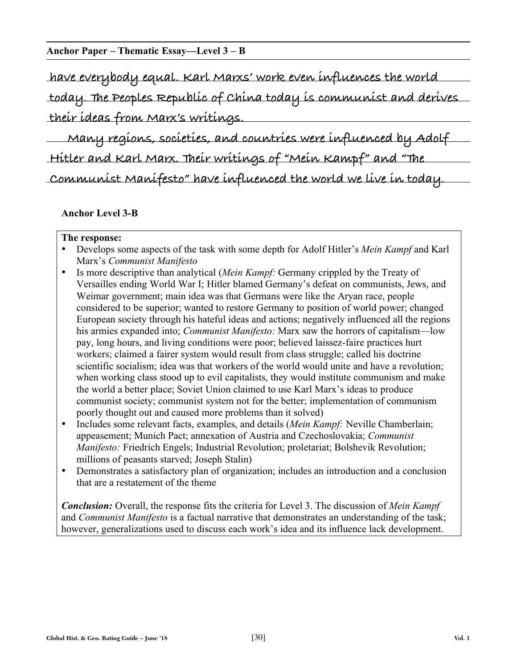#### **Anchor Paper – Thematic Essay—Level 3 – B**

**have everybody equal. Karl Marxs' work even influences the world today. The Peoples Republic of China today is communist and derives their ideas from Marx's writings.**

**Many regions, societies, and countries were influenced by Adolf Hitler and Karl Marx. Their writings of "Mein Kampf" and "The Communist Manifesto" have influenced the world we live in today.**

#### **Anchor Level 3-B**

#### **The response:**

- Develops some aspects of the task with some depth for Adolf Hitler's *Mein Kampf* and Karl Marx's *Communist Manifesto*
- Is more descriptive than analytical (*Mein Kampf:* Germany crippled by the Treaty of Versailles ending World War I; Hitler blamed Germany's defeat on communists, Jews, and Weimar government; main idea was that Germans were like the Aryan race, people considered to be superior; wanted to restore Germany to position of world power; changed European society through his hateful ideas and actions; negatively influenced all the regions his armies expanded into; *Communist Manifesto:* Marx saw the horrors of capitalism—low pay, long hours, and living conditions were poor; believed laissez-faire practices hurt workers; claimed a fairer system would result from class struggle; called his doctrine scientific socialism; idea was that workers of the world would unite and have a revolution; when working class stood up to evil capitalists, they would institute communism and make the world a better place; Soviet Union claimed to use Karl Marx's ideas to produce communist society; communist system not for the better; implementation of communism poorly thought out and caused more problems than it solved)
- Includes some relevant facts, examples, and details (*Mein Kampf:* Neville Chamberlain; appeasement; Munich Pact; annexation of Austria and Czechoslovakia; *Communist Manifesto:* Friedrich Engels; Industrial Revolution; proletariat; Bolshevik Revolution; millions of peasants starved; Joseph Stalin)
- Demonstrates a satisfactory plan of organization; includes an introduction and a conclusion that are a restatement of the theme

*Conclusion:* Overall, the response fits the criteria for Level 3. The discussion of *Mein Kampf* and *Communist Manifesto* is a factual narrative that demonstrates an understanding of the task; however, generalizations used to discuss each work's idea and its influence lack development.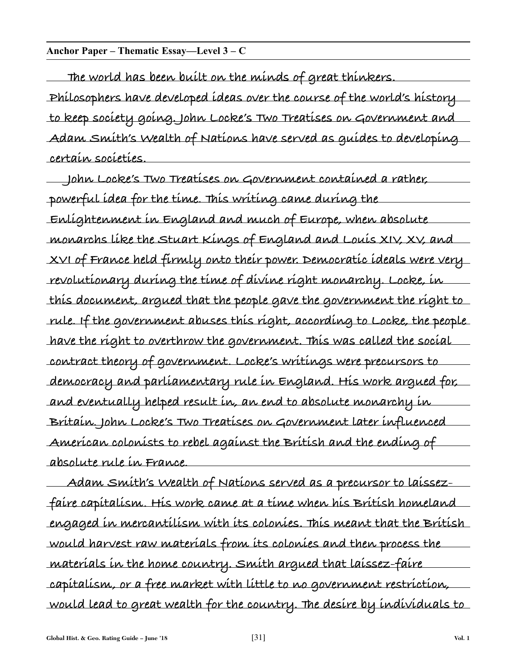#### **Anchor Paper – Thematic Essay—Level 3 – C**

**The world has been built on the minds of great thinkers. Philosophers have developed ideas over the course of the world's history to keep society going. John Locke's Two Treatises on Government and Adam Smith's Wealth of Nations have served as guides to developing certain societies.**

**John Locke's Two Treatises on Government contained a rather, powerful idea for the time. This writing came during the Enlightenment in England and much of Europe, when absolute monarchs like the Stuart Kings of England and Louis XIV, XV, and XVI of France held firmly onto their power. Democratic ideals were very revolutionary during the time of divine right monarchy. Locke, in this document, argued that the people gave the government the right to rule. If the government abuses this right, according to Locke, the people have the right to overthrow the government. This was called the social contract theory of government. Locke's writings were precursors to democracy and parliamentary rule in England. His work argued for, and eventually helped result in, an end to absolute monarchy in Britain. John Locke's Two Treatises on Government later influenced American colonists to rebel against the British and the ending of absolute rule in France.**

**Adam Smith's Wealth of Nations served as a precursor to laissezfaire capitalism. His work came at a time when his British homeland engaged in mercantilism with its colonies. This meant that the British would harvest raw materials from its colonies and then process the materials in the home country. Smith argued that laissez-faire capitalism, or a free market with little to no government restriction, would lead to great wealth for the country. The desire by individuals to**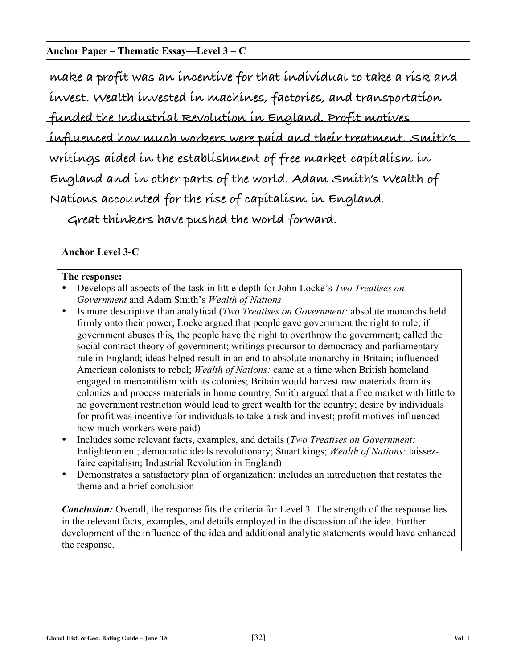#### **Anchor Paper – Thematic Essay—Level 3 – C**

| make a profit was an incentive for that individual to take a risk and |  |  |  |
|-----------------------------------------------------------------------|--|--|--|
|                                                                       |  |  |  |
| invest. Wealth invested in machines, factories, and transportation    |  |  |  |
|                                                                       |  |  |  |
| funded the Industrial Revolution in England. Profit motives           |  |  |  |
|                                                                       |  |  |  |
| influenced how much workers were paid and their treatment. Smith's    |  |  |  |
|                                                                       |  |  |  |
| writings aided in the establishment of free market capitalism in      |  |  |  |
|                                                                       |  |  |  |
| England and in other parts of the world. Adam Smith's Wealth of       |  |  |  |
|                                                                       |  |  |  |
| Nations accounted for the rise of capitalism in England.              |  |  |  |
|                                                                       |  |  |  |
| Great thinkers have pushed the world forward.                         |  |  |  |
|                                                                       |  |  |  |

#### **Anchor Level 3-C**

#### **The response:**

- Develops all aspects of the task in little depth for John Locke's *Two Treatises on Government* and Adam Smith's *Wealth of Nations*
- Is more descriptive than analytical (*Two Treatises on Government:* absolute monarchs held firmly onto their power; Locke argued that people gave government the right to rule; if government abuses this, the people have the right to overthrow the government; called the social contract theory of government; writings precursor to democracy and parliamentary rule in England; ideas helped result in an end to absolute monarchy in Britain; influenced American colonists to rebel; *Wealth of Nations:* came at a time when British homeland engaged in mercantilism with its colonies; Britain would harvest raw materials from its colonies and process materials in home country; Smith argued that a free market with little to no government restriction would lead to great wealth for the country; desire by individuals for profit was incentive for individuals to take a risk and invest; profit motives influenced how much workers were paid)
- Includes some relevant facts, examples, and details (*Two Treatises on Government:* Enlightenment; democratic ideals revolutionary; Stuart kings; *Wealth of Nations:* laissezfaire capitalism; Industrial Revolution in England)
- Demonstrates a satisfactory plan of organization; includes an introduction that restates the theme and a brief conclusion

*Conclusion:* Overall, the response fits the criteria for Level 3. The strength of the response lies in the relevant facts, examples, and details employed in the discussion of the idea. Further development of the influence of the idea and additional analytic statements would have enhanced the response.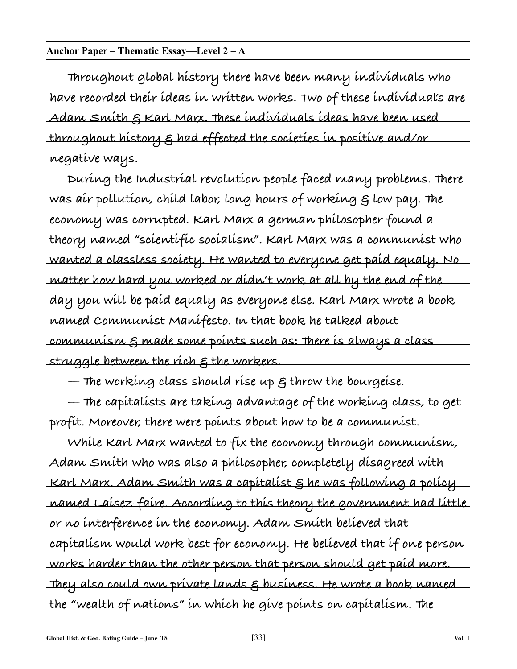#### **Anchor Paper – Thematic Essay—Level 2 – A**

**Throughout global history there have been many individuals who have recorded their ideas in written works. Two of these individual's are Adam Smith & Karl Marx. These individuals ideas have been used throughout history & had effected the societies in positive and/or negative ways.**

**During the Industrial revolution people faced many problems. There was air pollution, child labor, long hours of working & low pay. The economy was corrupted. Karl Marx a german philosopher found a theory named "scientific socialism". Karl Marx was a communist who wanted a classless society. He wanted to everyone get paid equaly. No matter how hard you worked or didn't work at all by the end of the day you will be paid equaly as everyone else. Karl Marx wrote a book named Communist Manifesto. In that book he talked about communism & made some points such as: There is always a class struggle between the rich & the workers.**

**— The working class should rise up & throw the bourgeise.**

**— The capitalists are taking advantage of the working class, to get profit. Moreover, there were points about how to be a communist.**

**While Karl Marx wanted to fix the economy through communism, Adam Smith who was also a philosopher, completely disagreed with Karl Marx. Adam Smith was a capitalist & he was following a policy named Laisez-faire. According to this theory the government had little or no interference in the economy. Adam Smith believed that capitalism would work best for economy. He believed that if one person works harder than the other person that person should get paid more. They also could own private lands & business. He wrote a book named the "wealth of nations" in which he give points on capitalism. The**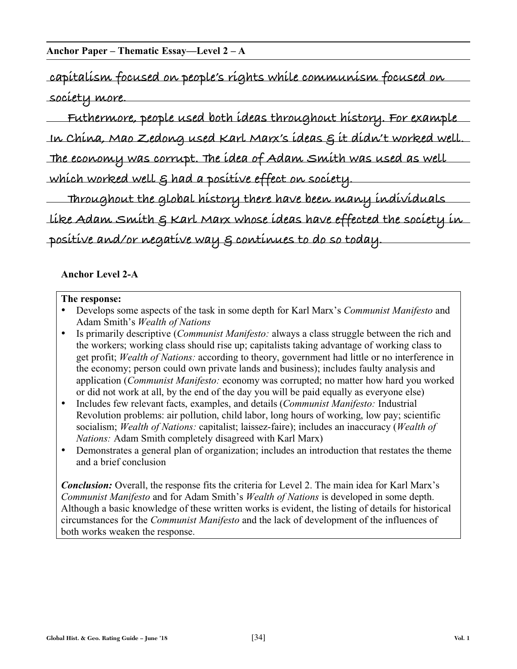#### **Anchor Paper – Thematic Essay—Level 2 – A**

**capitalism focused on people's rights while communism focused on society more.**

**Futhermore, people used both ideas throughout history. For example In China, Mao Zedong used Karl Marx's ideas & it didn't worked well. The economy was corrupt. The idea of Adam Smith was used as well which worked well & had a positive effect on society.**

**Throughout the global history there have been many individuals like Adam Smith & Karl Marx whose ideas have effected the society in positive and/or negative way & continues to do so today.**

#### **Anchor Level 2-A**

#### **The response:**

- Develops some aspects of the task in some depth for Karl Marx's *Communist Manifesto* and Adam Smith's *Wealth of Nations*
- Is primarily descriptive (*Communist Manifesto:* always a class struggle between the rich and the workers; working class should rise up; capitalists taking advantage of working class to get profit; *Wealth of Nations:* according to theory, government had little or no interference in the economy; person could own private lands and business); includes faulty analysis and application (*Communist Manifesto:* economy was corrupted; no matter how hard you worked or did not work at all, by the end of the day you will be paid equally as everyone else)
- Includes few relevant facts, examples, and details (*Communist Manifesto:* Industrial Revolution problems: air pollution, child labor, long hours of working, low pay; scientific socialism; *Wealth of Nations:* capitalist; laissez-faire); includes an inaccuracy (*Wealth of Nations:* Adam Smith completely disagreed with Karl Marx)
- Demonstrates a general plan of organization; includes an introduction that restates the theme and a brief conclusion

*Conclusion:* Overall, the response fits the criteria for Level 2. The main idea for Karl Marx's *Communist Manifesto* and for Adam Smith's *Wealth of Nations* is developed in some depth. Although a basic knowledge of these written works is evident, the listing of details for historical circumstances for the *Communist Manifesto* and the lack of development of the influences of both works weaken the response.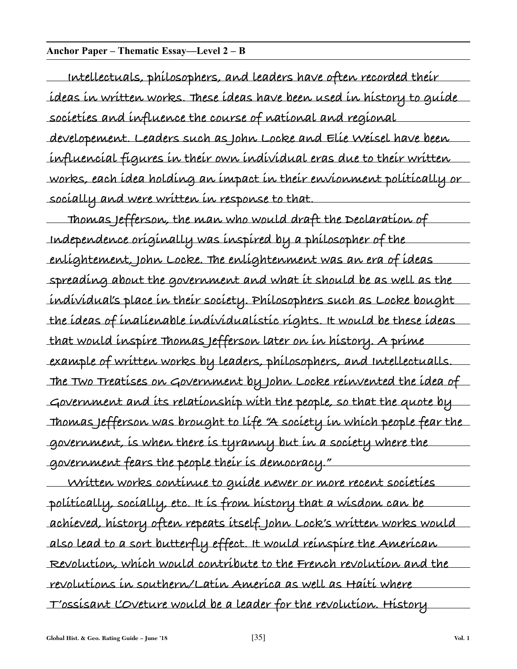#### **Anchor Paper – Thematic Essay—Level 2 – B**

**Intellectuals, philosophers, and leaders have often recorded their ideas in written works. These ideas have been used in history to guide societies and influence the course of national and regional developement. Leaders such as John Locke and Elie Weisel have been influencial figures in their own individual eras due to their written works, each idea holding an impact in their envionment politically or socially and were written in response to that.**

**Thomas Jefferson, the man who would draft the Declaration of Independence originally was inspired by a philosopher of the enlightement, John Locke. The enlightenment was an era of ideas spreading about the government and what it should be as well as the individual's place in their society. Philosophers such as Locke bought the ideas of inalienable individualistic rights. It would be these ideas that would inspire Thomas Jefferson later on in history. A prime example of written works by leaders, philosophers, and Intellectualls. The Two Treatises on Government by John Locke reinvented the idea of Government and its relationship with the people, so that the quote by Thomas Jefferson was brought to life "A society in which people fear the government, is when there is tyranny but in a society where the government fears the people their is democracy."**

**Written works continue to guide newer or more recent societies politically, socially, etc. It is from history that a wisdom can be achieved, history often repeats itself. John Lock's written works would also lead to a sort butterfly effect. It would reinspire the American Revolution, which would contribute to the French revolution and the revolutions in southern/Latin America as well as Haiti where T'ossisant L'Oveture would be a leader for the revolution. History**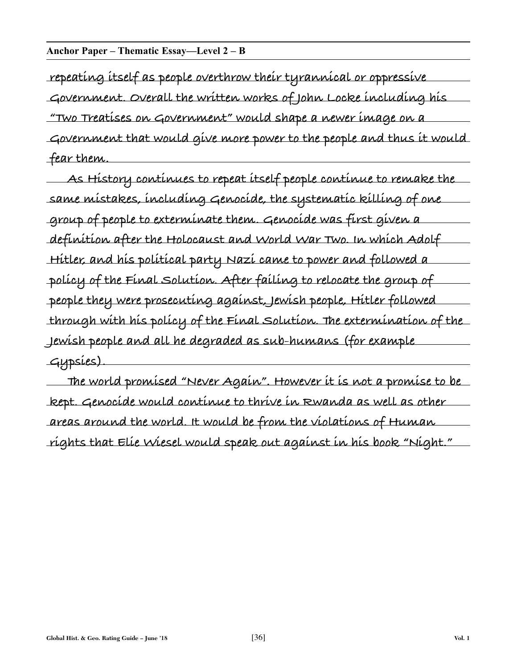#### **Anchor Paper – Thematic Essay—Level 2 – B**

**repeating itself as people overthrow their tyrannical or oppressive Government. Overall the written works of John Locke including his "Two Treatises on Government" would shape a newer image on a Government that would give more power to the people and thus it would fear them.**

**As History continues to repeat itself people continue to remake the same mistakes, including Genocide, the systematic killing of one group of people to exterminate them. Genocide was first given a definition after the Holocaust and World War Two. In which Adolf Hitler, and his political party Nazi came to power and followed a policy of the Final Solution. After failing to relocate the group of people they were prosecuting against, Jewish people, Hitler followed through with his policy of the Final Solution. The extermination of the Jewish people and all he degraded as sub-humans (for example Gypsies).**

**The world promised "Never Again". However it is not a promise to be kept. Genocide would continue to thrive in Rwanda as well as other areas around the world. It would be from the violations of Human rights that Elie Wiesel would speak out against in his book "Night."**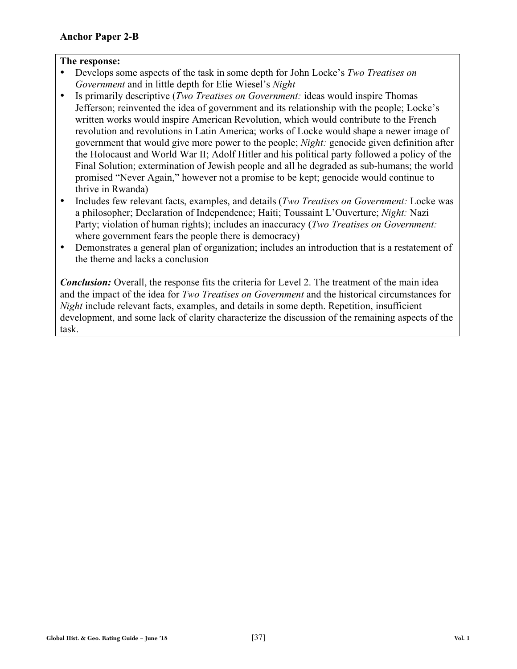- Develops some aspects of the task in some depth for John Locke's *Two Treatises on Government* and in little depth for Elie Wiesel's *Night*
- Is primarily descriptive (*Two Treatises on Government:* ideas would inspire Thomas Jefferson; reinvented the idea of government and its relationship with the people; Locke's written works would inspire American Revolution, which would contribute to the French revolution and revolutions in Latin America; works of Locke would shape a newer image of government that would give more power to the people; *Night:* genocide given definition after the Holocaust and World War II; Adolf Hitler and his political party followed a policy of the Final Solution; extermination of Jewish people and all he degraded as sub-humans; the world promised "Never Again," however not a promise to be kept; genocide would continue to thrive in Rwanda)
- Includes few relevant facts, examples, and details (*Two Treatises on Government:* Locke was a philosopher; Declaration of Independence; Haiti; Toussaint L'Ouverture; *Night:* Nazi Party; violation of human rights); includes an inaccuracy (*Two Treatises on Government:*  where government fears the people there is democracy)
- Demonstrates a general plan of organization; includes an introduction that is a restatement of the theme and lacks a conclusion

*Conclusion:* Overall, the response fits the criteria for Level 2. The treatment of the main idea and the impact of the idea for *Two Treatises on Government* and the historical circumstances for *Night* include relevant facts, examples, and details in some depth. Repetition, insufficient development, and some lack of clarity characterize the discussion of the remaining aspects of the task.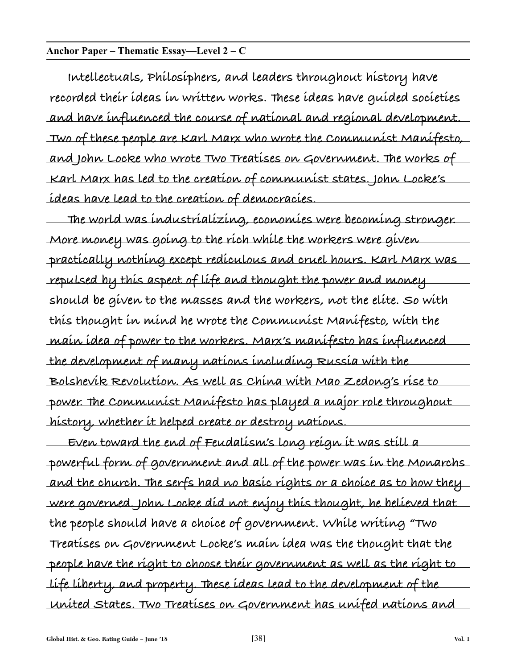#### **Anchor Paper – Thematic Essay—Level 2 – C**

**Intellectuals, Philosiphers, and leaders throughout history have recorded their ideas in written works. These ideas have guided societies and have influenced the course of national and regional development. Two of these people are Karl Marx who wrote the Communist Manifesto, and John Locke who wrote Two Treatises on Government. The works of Karl Marx has led to the creation of communist states. John Locke's ideas have lead to the creation of democracies.**

**The world was industrializing, economies were becoming stronger. More money was going to the rich while the workers were given practically nothing except rediculous and cruel hours. Karl Marx was repulsed by this aspect of life and thought the power and money should be given to the masses and the workers, not the elite. So with this thought in mind he wrote the Communist Manifesto, with the main idea of power to the workers. Marx's manifesto has influenced the development of many nations including Russia with the Bolshevik Revolution. As well as China with Mao Zedong's rise to power. The Communist Manifesto has played a major role throughout history, whether it helped create or destroy nations.**

**Even toward the end of Feudalism's long reign it was still a powerful form of government and all of the power was in the Monarchs and the church. The serfs had no basic rights or a choice as to how they were governed. John Locke did not enjoy this thought, he believed that the people should have a choice of government. While writing "Two Treatises on Government Locke's main idea was the thought that the people have the right to choose their government as well as the right to life liberty, and property. These ideas lead to the development of the United States. Two Treatises on Government has unifed nations and**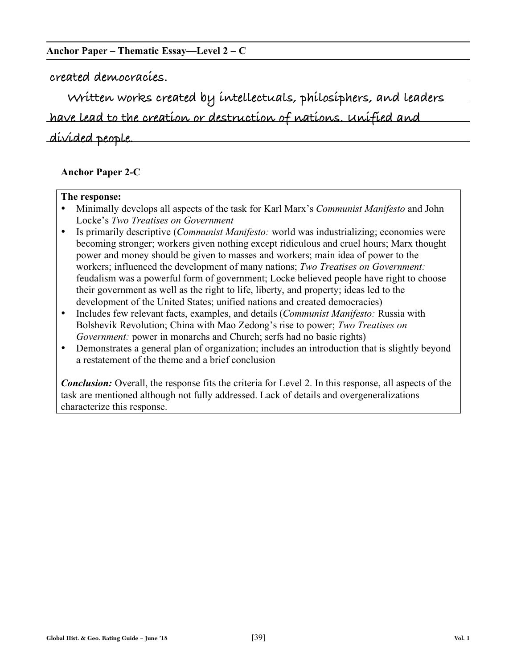#### **Anchor Paper – Thematic Essay—Level 2 – C**

**created democracies.** 

**Written works created by intellectuals, philosiphers, and leaders**

**have lead to the creation or destruction of nations. Unified and**

**divided people.**

#### **Anchor Paper 2-C**

#### **The response:**

- Minimally develops all aspects of the task for Karl Marx's *Communist Manifesto* and John Locke's *Two Treatises on Government*
- Is primarily descriptive (*Communist Manifesto:* world was industrializing; economies were becoming stronger; workers given nothing except ridiculous and cruel hours; Marx thought power and money should be given to masses and workers; main idea of power to the workers; influenced the development of many nations; *Two Treatises on Government:* feudalism was a powerful form of government; Locke believed people have right to choose their government as well as the right to life, liberty, and property; ideas led to the development of the United States; unified nations and created democracies)
- Includes few relevant facts, examples, and details (*Communist Manifesto:* Russia with Bolshevik Revolution; China with Mao Zedong's rise to power; *Two Treatises on Government:* power in monarchs and Church; serfs had no basic rights)
- Demonstrates a general plan of organization; includes an introduction that is slightly beyond a restatement of the theme and a brief conclusion

*Conclusion:* Overall, the response fits the criteria for Level 2. In this response, all aspects of the task are mentioned although not fully addressed. Lack of details and overgeneralizations characterize this response.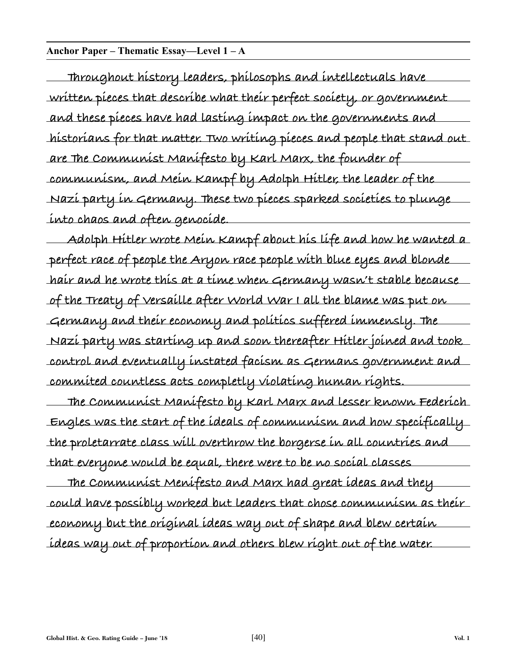#### **Anchor Paper – Thematic Essay—Level 1 – A**

**Throughout history leaders, philosophs and intellectuals have written pieces that describe what their perfect society, or government and these pieces have had lasting impact on the governments and historians for that matter. Two writing pieces and people that stand out are The Communist Manifesto by Karl Marx, the founder of communism, and Mein Kampf by Adolph Hitler, the leader of the Nazi party in Germany. These two pieces sparked societies to plunge into chaos and often genocide.**

**Adolph Hitler wrote Mein Kampf about his life and how he wanted a perfect race of people the Aryon race people with blue eyes and blonde hair and he wrote this at a time when Germany wasn't stable because of the Treaty of Versaille after World War I all the blame was put on Germany and their economy and politics suffered immensly. The Nazi party was starting up and soon thereafter Hitler joined and took control and eventually instated facism as Germans government and commited countless acts completly violating human rights.**

**The Communist Manifesto by Karl Marx and lesser known Federich Engles was the start of the ideals of communism and how specifically the proletarrate class will overthrow the borgerse in all countries and that everyone would be equal, there were to be no social classes**

**The Communist Menifesto and Marx had great ideas and they could have possibly worked but leaders that chose communism as their economy but the original ideas way out of shape and blew certain ideas way out of proportion and others blew right out of the water.**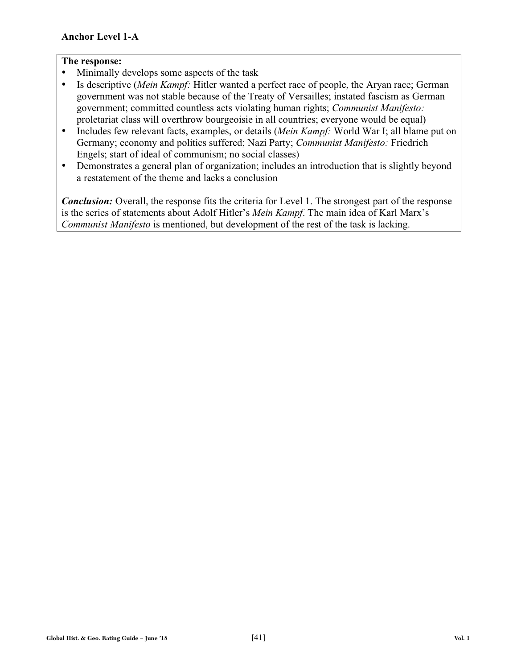- Minimally develops some aspects of the task
- Is descriptive (*Mein Kampf:* Hitler wanted a perfect race of people, the Aryan race; German government was not stable because of the Treaty of Versailles; instated fascism as German government; committed countless acts violating human rights; *Communist Manifesto:* proletariat class will overthrow bourgeoisie in all countries; everyone would be equal)
- Includes few relevant facts, examples, or details (*Mein Kampf:* World War I; all blame put on Germany; economy and politics suffered; Nazi Party; *Communist Manifesto:* Friedrich Engels; start of ideal of communism; no social classes)
- Demonstrates a general plan of organization; includes an introduction that is slightly beyond a restatement of the theme and lacks a conclusion

*Conclusion:* Overall, the response fits the criteria for Level 1. The strongest part of the response is the series of statements about Adolf Hitler's *Mein Kampf*. The main idea of Karl Marx's *Communist Manifesto* is mentioned, but development of the rest of the task is lacking.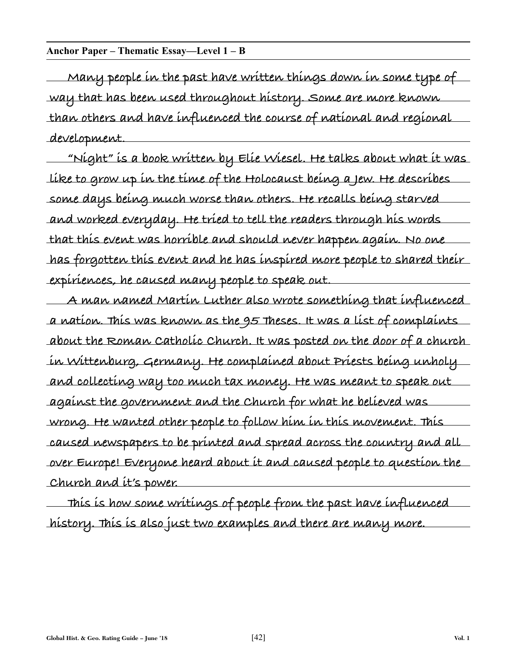#### **Anchor Paper – Thematic Essay—Level 1 – B**

**Many people in the past have written things down in some type of way that has been used throughout history. Some are more known than others and have influenced the course of national and regional development.**

**"Night" is a book written by Elie Wiesel. He talks about what it was like to grow up in the time of the Holocaust being a Jew. He describes some days being much worse than others. He recalls being starved and worked everyday. He tried to tell the readers through his words that this event was horrible and should never happen again. No one has forgotten this event and he has inspired more people to shared their expiriences, he caused many people to speak out.**

**A man named Martin Luther also wrote something that influenced a nation. This was known as the 95 Theses. It was a list of complaints about the Roman Catholic Church. It was posted on the door of a church in Wittenburg, Germany. He complained about Priests being unholy and collecting way too much tax money. He was meant to speak out against the government and the Church for what he believed was wrong. He wanted other people to follow him in this movement. This caused newspapers to be printed and spread across the country and all over Europe! Everyone heard about it and caused people to question the Church and it's power.**

**This is how some writings of people from the past have influenced history. This is also just two examples and there are many more.**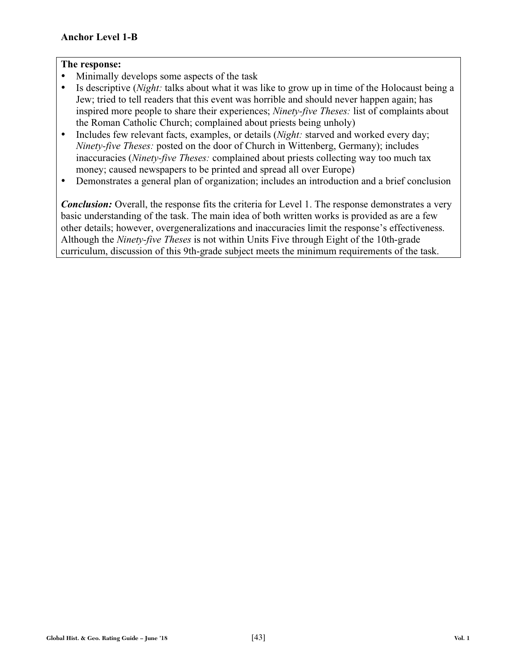- Minimally develops some aspects of the task
- Is descriptive (*Night:* talks about what it was like to grow up in time of the Holocaust being a Jew; tried to tell readers that this event was horrible and should never happen again; has inspired more people to share their experiences; *Ninety-five Theses:* list of complaints about the Roman Catholic Church; complained about priests being unholy)
- Includes few relevant facts, examples, or details (*Night:* starved and worked every day; *Ninety-five Theses:* posted on the door of Church in Wittenberg, Germany); includes inaccuracies (*Ninety-five Theses:* complained about priests collecting way too much tax money; caused newspapers to be printed and spread all over Europe)
- Demonstrates a general plan of organization; includes an introduction and a brief conclusion

*Conclusion:* Overall, the response fits the criteria for Level 1. The response demonstrates a very basic understanding of the task. The main idea of both written works is provided as are a few other details; however, overgeneralizations and inaccuracies limit the response's effectiveness. Although the *Ninety-five Theses* is not within Units Five through Eight of the 10th-grade curriculum, discussion of this 9th-grade subject meets the minimum requirements of the task.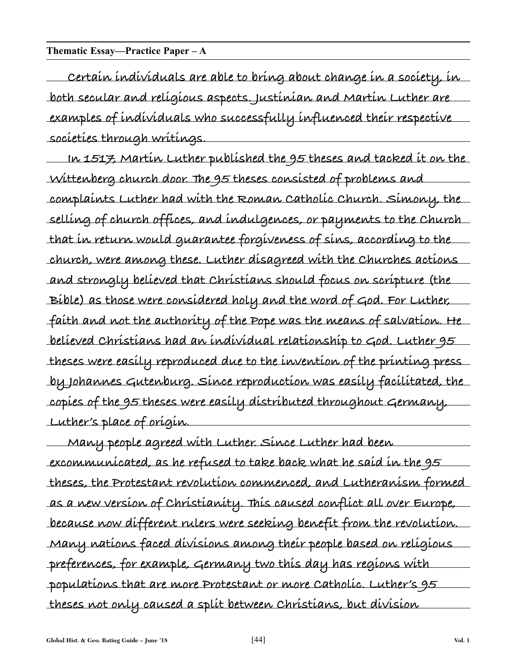#### **Thematic Essay—Practice Paper – A**

**Certain individuals are able to bring about change in a society, in both secular and religious aspects. Justinian and Martin Luther are examples of individuals who successfully influenced their respective societies through writings.**

**In 1517, Martin Luther published the 95 theses and tacked it on the Wittenberg church door. The 95 theses consisted of problems and complaints Luther had with the Roman Catholic Church. Simony, the selling of church offices, and indulgences, or payments to the Church that in return would guarantee forgiveness of sins, according to the church, were among these. Luther disagreed with the Churches actions and strongly believed that Christians should focus on scripture (the Bible) as those were considered holy and the word of God. For Luther, faith and not the authority of the Pope was the means of salvation. He believed Christians had an individual relationship to God. Luther 95 theses were easily reproduced due to the invention of the printing press by Johannes Gutenburg. Since reproduction was easily facilitated, the copies of the 95 theses were easily distributed throughout Germany, Luther's place of origin.**

**Many people agreed with Luther. Since Luther had been excommunicated, as he refused to take back what he said in the 95 theses, the Protestant revolution commenced, and Lutheranism formed as a new version of Christianity. This caused conflict all over Europe, because now different rulers were seeking benefit from the revolution. Many nations faced divisions among their people based on religious preferences, for example, Germany two this day has regions with populations that are more Protestant or more Catholic. Luther's 95 theses not only caused a split between Christians, but division**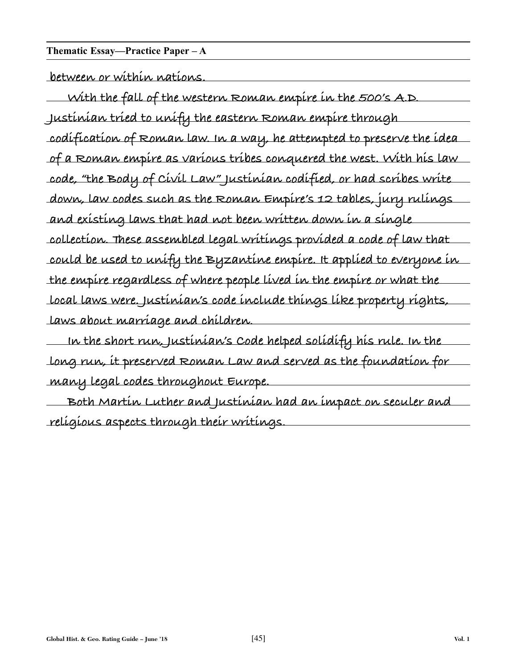#### **Thematic Essay—Practice Paper – A**

**between or within nations.**

**With the fall of the western Roman empire in the 500's A.D. Justinian tried to unify the eastern Roman empire through codification of Roman law. In a way, he attempted to preserve the idea of a Roman empire as various tribes conquered the west. With his law code, "the Body of Civil Law" Justinian codified, or had scribes write down, law codes such as the Roman Empire's 12 tables, jury rulings and existing laws that had not been written down in a single collection. These assembled legal writings provided a code of law that could be used to unify the Byzantine empire. It applied to everyone in the empire regardless of where people lived in the empire or what the local laws were. Justinian's code include things like property rights, laws about marriage and children.**

**In the short run, Justinian's Code helped solidify his rule. In the long run, it preserved Roman Law and served as the foundation for many legal codes throughout Europe.**

**Both Martin Luther and Justinian had an impact on seculer and religious aspects through their writings.**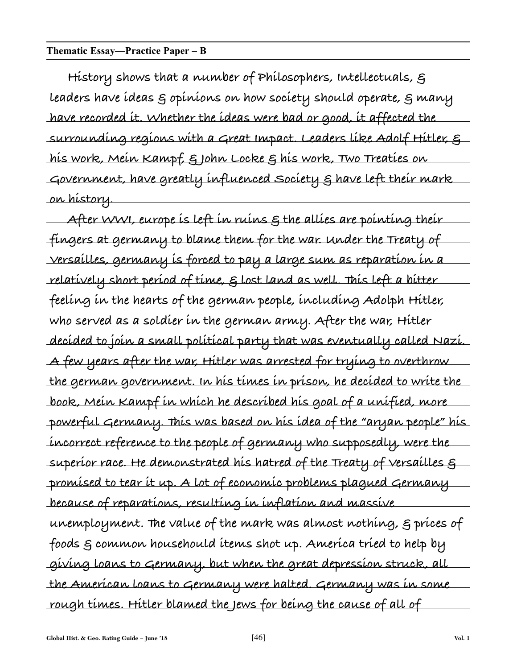#### **Thematic Essay—Practice Paper – B**

**History shows that a number of Philosophers, Intellectuals, & leaders have ideas & opinions on how society should operate, & many have recorded it. Whether the ideas were bad or good, it affected the surrounding regions with a Great Impact. Leaders like Adolf Hitler, & his work, Mein Kampf, & John Locke & his work, Two Treaties on Government, have greatly influenced Society & have left their mark on history.**

**After WWI, europe is left in ruins & the allies are pointing their fingers at germany to blame them for the war. Under the Treaty of Versailles, germany is forced to pay a large sum as reparation in a relatively short period of time, & lost land as well. This left a bitter feeling in the hearts of the german people, including Adolph Hitler, who served as a soldier in the german army. After the war, Hitler decided to join a small political party that was eventually called Nazi. A few years after the war, Hitler was arrested for trying to overthrow the german government. In his times in prison, he decided to write the book, Mein Kampf in which he described his goal of a unified, more powerful Germany. This was based on his idea of the "aryan people" his incorrect reference to the people of germany who supposedly, were the superior race. He demonstrated his hatred of the Treaty of Versailles & promised to tear it up. A lot of economic problems plagued Germany because of reparations, resulting in inflation and massive unemployment. The value of the mark was almost nothing, & prices of foods & common househould items shot up. America tried to help by giving loans to Germany, but when the great depression struck, all the American loans to Germany were halted. Germany was in some rough times. Hitler blamed the Jews for being the cause of all of**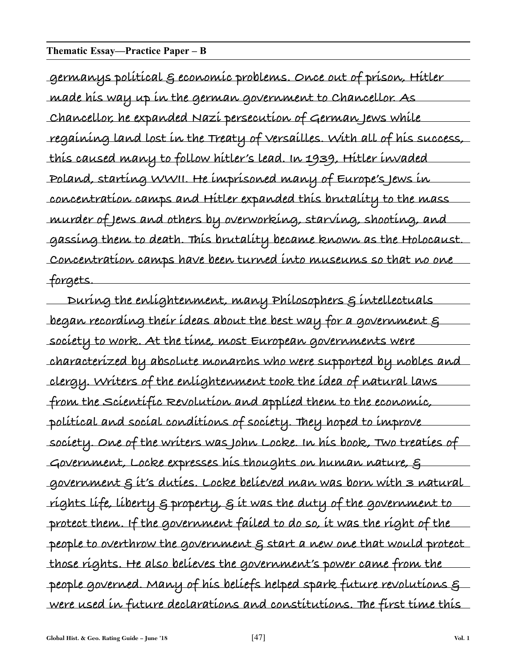#### **Thematic Essay—Practice Paper – B**

**germanys political & economic problems. Once out of prison, Hitler made his way up in the german government to Chancellor. As Chancellor, he expanded Nazi persecution of German Jews while regaining land lost in the Treaty of Versailles. With all of his success, this caused many to follow hitler's lead. In 1939, Hitler invaded Poland, starting WWII. He imprisoned many of Europe's Jews in concentration camps and Hitler expanded this brutality to the mass murder of Jews and others by overworking, starving, shooting, and gassing them to death. This brutality became known as the Holocaust. Concentration camps have been turned into museums so that no one forgets.**

**During the enlightenment, many Philosophers & intellectuals began recording their ideas about the best way for a government & society to work. At the time, most European governments were characterized by absolute monarchs who were supported by nobles and clergy. Writers of the enlightenment took the idea of natural laws from the Scientific Revolution and applied them to the economic, political and social conditions of society. They hoped to improve society. One of the writers was John Locke. In his book, Two treaties of Government, Locke expresses his thoughts on human nature, & government & it's duties. Locke believed man was born with 3 natural rights life, liberty & property, & it was the duty of the government to protect them. If the government failed to do so, it was the right of the people to overthrow the government & start a new one that would protect those rights. He also believes the government's power came from the people governed. Many of his beliefs helped spark future revolutions & were used in future declarations and constitutions. The first time this**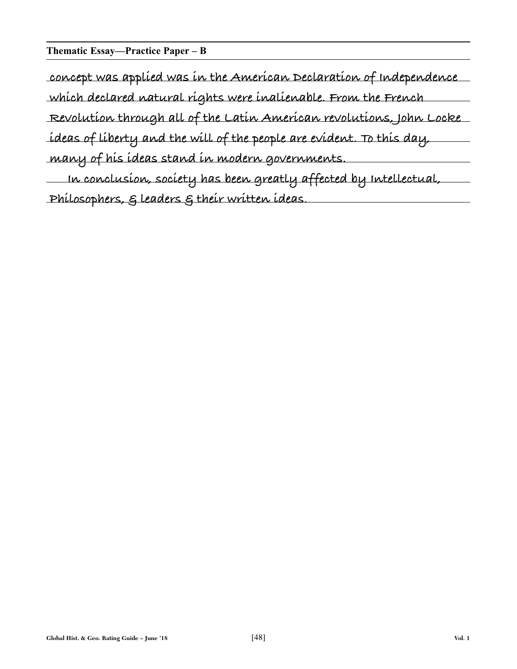#### **Thematic Essay—Practice Paper – B**

**concept was applied was in the American Declaration of Independence which declared natural rights were inalienable. From the French Revolution through all of the Latin American revolutions, John Locke ideas of liberty and the will of the people are evident. To this day,**

**many of his ideas stand in modern governments.**

**In conclusion, society has been greatly affected by Intellectual, Philosophers, & leaders & their written ideas.**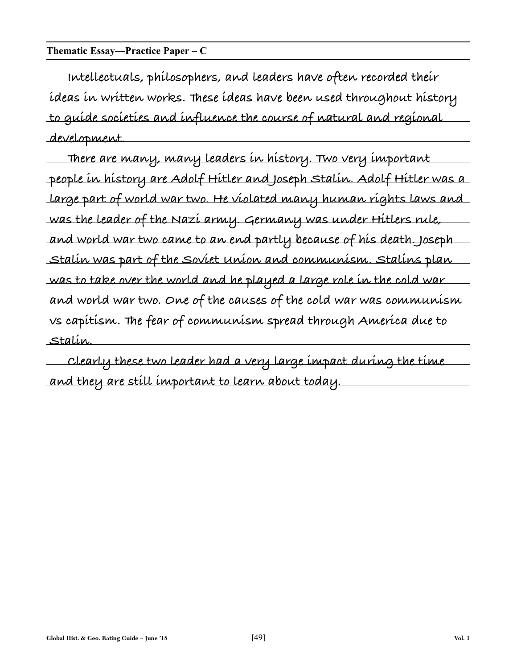#### **Thematic Essay—Practice Paper – C**

**Intellectuals, philosophers, and leaders have often recorded their ideas in written works. These ideas have been used throughout history to guide societies and influence the course of natural and regional development.**

**There are many, many leaders in history. Two very important people in history are Adolf Hitler and Joseph Stalin. Adolf Hitler was a large part of world war two. He violated many human rights laws and was the leader of the Nazi army. Germany was under Hitlers rule, and world war two came to an end partly because of his death. Joseph Stalin was part of the Soviet Union and communism. Stalins plan was to take over the world and he played a large role in the cold war and world war two. One of the causes of the cold war was communism vs capitism. The fear of communism spread through America due to Stalin.**

**Clearly these two leader had a very large impact during the time and they are still important to learn about today.**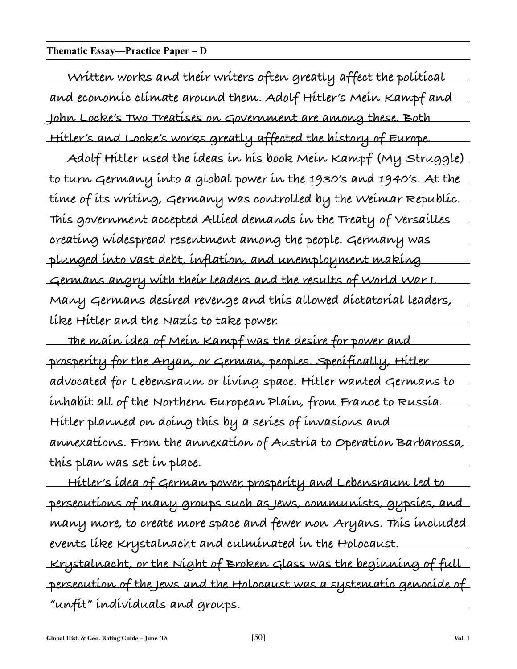#### **Thematic Essay—Practice Paper – D**

**Written works and their writers often greatly affect the political and economic climate around them. Adolf Hitler's Mein Kampf and John Locke's Two Treatises on Government are among these. Both Hitler's and Locke's works greatly affected the history of Europe.**

**Adolf Hitler used the ideas in his book Mein Kampf (My Struggle) to turn Germany into a global power in the 1930's and 1940's. At the time of its writing, Germany was controlled by the Weimar Republic. This government accepted Allied demands in the Treaty of Versailles creating widespread resentment among the people. Germany was plunged into vast debt, inflation, and unemployment making Germans angry with their leaders and the results of World War I. Many Germans desired revenge and this allowed dictatorial leaders, like Hitler and the Nazis to take power.**

**The main idea of Mein Kampf was the desire for power and prosperity for the Aryan, or German, peoples. Specifically, Hitler advocated for Lebensraum or living space. Hitler wanted Germans to inhabit all of the Northern European Plain, from France to Russia. Hitler planned on doing this by a series of invasions and annexations. From the annexation of Austria to Operation Barbarossa, this plan was set in place.**

**Hitler's idea of German power, prosperity and Lebensraum led to persecutions of many groups such as Jews, communists, gypsies, and many more, to create more space and fewer non-Aryans. This included events like Krystalnacht and culminated in the Holocaust. Krystalnacht, or the Night of Broken Glass was the beginning of full persecution of the Jews and the Holocaust was a systematic genocide of "unfit" individuals and groups.**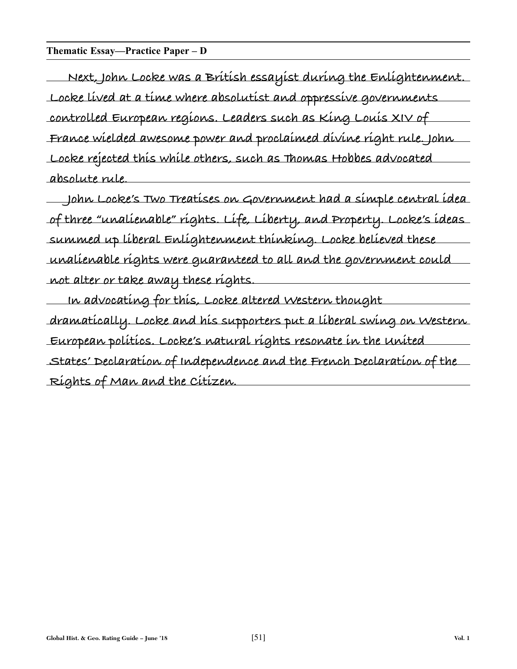#### **Thematic Essay—Practice Paper – D**

**Next, John Locke was a British essayist during the Enlightenment. Locke lived at a time where absolutist and oppressive governments controlled European regions. Leaders such as King Louis XIV of France wielded awesome power and proclaimed divine right rule. John Locke rejected this while others, such as Thomas Hobbes advocated absolute rule.**

**John Locke's Two Treatises on Government had a simple central idea of three "unalienable" rights. Life, Liberty, and Property. Locke's ideas summed up liberal Enlightenment thinking. Locke believed these unalienable rights were guaranteed to all and the government could not alter or take away these rights.**

**In advocating for this, Locke altered Western thought dramatically. Locke and his supporters put a liberal swing on Western European politics. Locke's natural rights resonate in the United States' Declaration of Independence and the French Declaration of the Rights of Man and the Citizen.**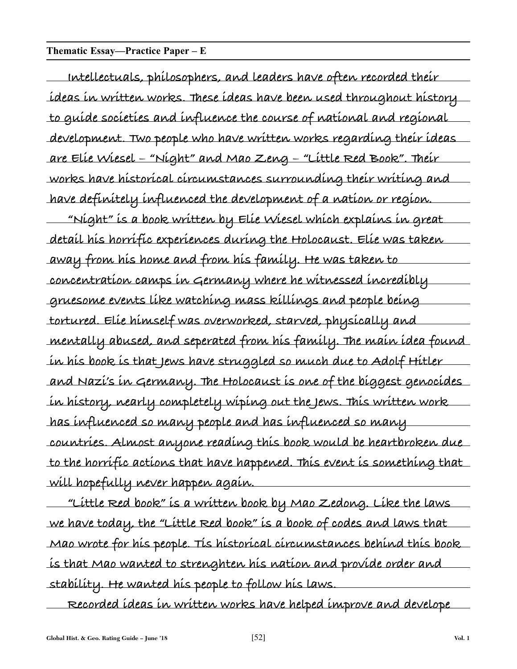#### **Thematic Essay—Practice Paper – E**

**Intellectuals, philosophers, and leaders have often recorded their ideas in written works. These ideas have been used throughout history to guide societies and influence the course of national and regional development. Two people who have written works regarding their ideas are Elie Wiesel – "Night" and Mao Zeng – "Little Red Book". Their works have historical circumstances surrounding their writing and have definitely influenced the development of a nation or region. "Night" is a book written by Elie Wiesel which explains in great detail his horrific experiences during the Holocaust. Elie was taken away from his home and from his family. He was taken to concentration camps in Germany where he witnessed incredibly gruesome events like watching mass killings and people being tortured. Elie himself was overworked, starved, physically and mentally abused, and seperated from his family. The main idea found in his book is that Jews have struggled so much due to Adolf Hitler and Nazi's in Germany. The Holocaust is one of the biggest genocides in history, nearly completely wiping out the Jews. This written work has influenced so many people and has influenced so many countries. Almost anyone reading this book would be heartbroken due to the horrific actions that have happened. This event is something that will hopefully never happen again.**

**"Little Red book" is a written book by Mao Zedong. Like the laws we have today, the "Little Red book" is a book of codes and laws that Mao wrote for his people. Tis historical circumstances behind this book is that Mao wanted to strenghten his nation and provide order and stability. He wanted his people to follow his laws.**

**Recorded ideas in written works have helped improve and develope**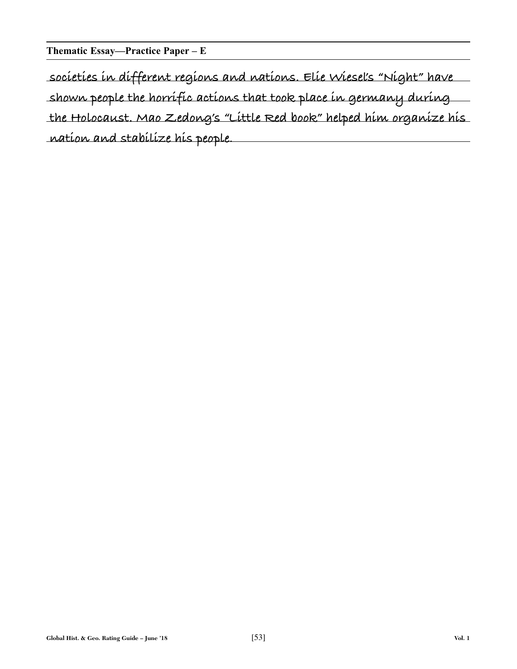**Thematic Essay—Practice Paper – E**

**societies in different regions and nations. Elie Wiesel's "Night" have shown people the horrific actions that took place in germany during the Holocaust. Mao Zedong's "Little Red book" helped him organize his nation and stabilize his people.**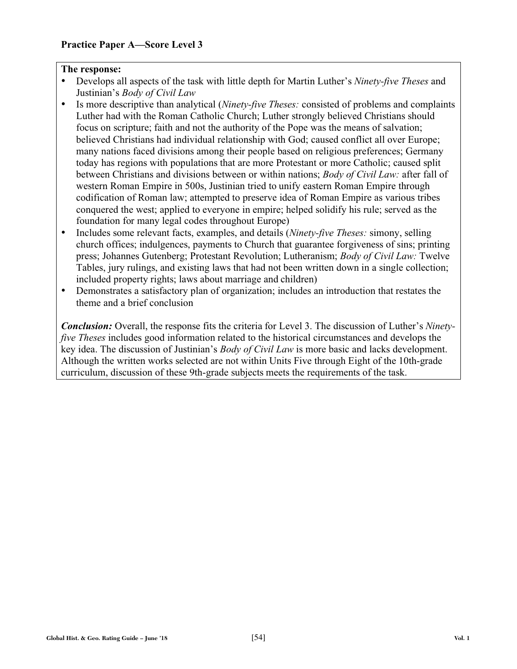- Develops all aspects of the task with little depth for Martin Luther's *Ninety-five Theses* and Justinian's *Body of Civil Law*
- Is more descriptive than analytical (*Ninety-five Theses:* consisted of problems and complaints Luther had with the Roman Catholic Church; Luther strongly believed Christians should focus on scripture; faith and not the authority of the Pope was the means of salvation; believed Christians had individual relationship with God; caused conflict all over Europe; many nations faced divisions among their people based on religious preferences; Germany today has regions with populations that are more Protestant or more Catholic; caused split between Christians and divisions between or within nations; *Body of Civil Law:* after fall of western Roman Empire in 500s, Justinian tried to unify eastern Roman Empire through codification of Roman law; attempted to preserve idea of Roman Empire as various tribes conquered the west; applied to everyone in empire; helped solidify his rule; served as the foundation for many legal codes throughout Europe)
- Includes some relevant facts, examples, and details (*Ninety-five Theses:* simony, selling church offices; indulgences, payments to Church that guarantee forgiveness of sins; printing press; Johannes Gutenberg; Protestant Revolution; Lutheranism; *Body of Civil Law:* Twelve Tables, jury rulings, and existing laws that had not been written down in a single collection; included property rights; laws about marriage and children)
- Demonstrates a satisfactory plan of organization; includes an introduction that restates the theme and a brief conclusion

*Conclusion:* Overall, the response fits the criteria for Level 3. The discussion of Luther's *Ninetyfive Theses* includes good information related to the historical circumstances and develops the key idea. The discussion of Justinian's *Body of Civil Law* is more basic and lacks development. Although the written works selected are not within Units Five through Eight of the 10th-grade curriculum, discussion of these 9th-grade subjects meets the requirements of the task.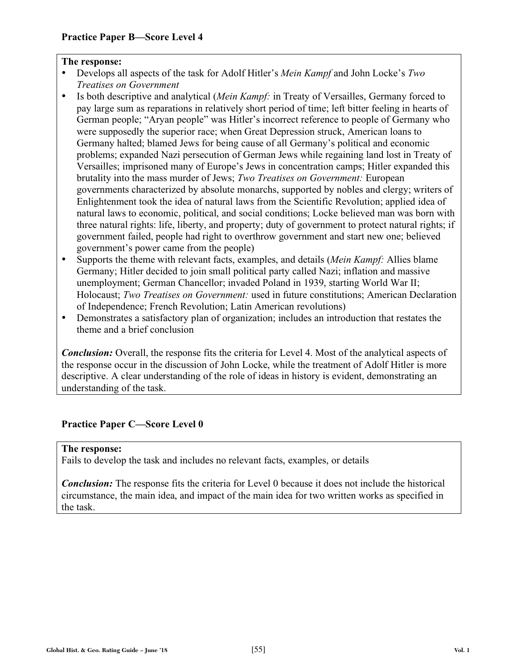- Develops all aspects of the task for Adolf Hitler's *Mein Kampf* and John Locke's *Two Treatises on Government*
- Is both descriptive and analytical (*Mein Kampf:* in Treaty of Versailles, Germany forced to pay large sum as reparations in relatively short period of time; left bitter feeling in hearts of German people; "Aryan people" was Hitler's incorrect reference to people of Germany who were supposedly the superior race; when Great Depression struck, American loans to Germany halted; blamed Jews for being cause of all Germany's political and economic problems; expanded Nazi persecution of German Jews while regaining land lost in Treaty of Versailles; imprisoned many of Europe's Jews in concentration camps; Hitler expanded this brutality into the mass murder of Jews; *Two Treatises on Government:* European governments characterized by absolute monarchs, supported by nobles and clergy; writers of Enlightenment took the idea of natural laws from the Scientific Revolution; applied idea of natural laws to economic, political, and social conditions; Locke believed man was born with three natural rights: life, liberty, and property; duty of government to protect natural rights; if government failed, people had right to overthrow government and start new one; believed government's power came from the people)
- Supports the theme with relevant facts, examples, and details (*Mein Kampf:* Allies blame Germany; Hitler decided to join small political party called Nazi; inflation and massive unemployment; German Chancellor; invaded Poland in 1939, starting World War II; Holocaust; *Two Treatises on Government:* used in future constitutions; American Declaration of Independence; French Revolution; Latin American revolutions)
- Demonstrates a satisfactory plan of organization; includes an introduction that restates the theme and a brief conclusion

*Conclusion:* Overall, the response fits the criteria for Level 4. Most of the analytical aspects of the response occur in the discussion of John Locke, while the treatment of Adolf Hitler is more descriptive. A clear understanding of the role of ideas in history is evident, demonstrating an understanding of the task.

#### **Practice Paper C—Score Level 0**

#### **The response:**

Fails to develop the task and includes no relevant facts, examples, or details

*Conclusion:* The response fits the criteria for Level 0 because it does not include the historical circumstance, the main idea, and impact of the main idea for two written works as specified in the task.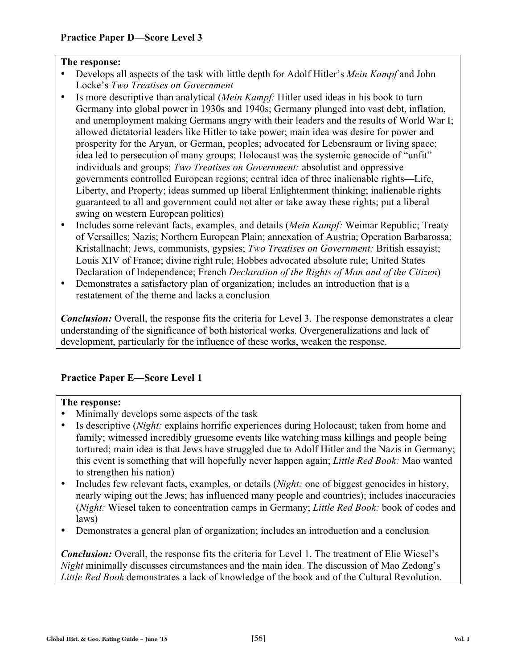- Develops all aspects of the task with little depth for Adolf Hitler's *Mein Kampf* and John Locke's *Two Treatises on Government*
- Is more descriptive than analytical (*Mein Kampf:* Hitler used ideas in his book to turn Germany into global power in 1930s and 1940s; Germany plunged into vast debt, inflation, and unemployment making Germans angry with their leaders and the results of World War I; allowed dictatorial leaders like Hitler to take power; main idea was desire for power and prosperity for the Aryan, or German, peoples; advocated for Lebensraum or living space; idea led to persecution of many groups; Holocaust was the systemic genocide of "unfit" individuals and groups; *Two Treatises on Government:* absolutist and oppressive governments controlled European regions; central idea of three inalienable rights—Life, Liberty, and Property; ideas summed up liberal Enlightenment thinking; inalienable rights guaranteed to all and government could not alter or take away these rights; put a liberal swing on western European politics)
- Includes some relevant facts, examples, and details (*Mein Kampf:* Weimar Republic; Treaty of Versailles; Nazis; Northern European Plain; annexation of Austria; Operation Barbarossa; Kristallnacht; Jews, communists, gypsies; *Two Treatises on Government:* British essayist; Louis XIV of France; divine right rule; Hobbes advocated absolute rule; United States Declaration of Independence; French *Declaration of the Rights of Man and of the Citizen*)
- Demonstrates a satisfactory plan of organization; includes an introduction that is a restatement of the theme and lacks a conclusion

*Conclusion:* Overall, the response fits the criteria for Level 3. The response demonstrates a clear understanding of the significance of both historical works. Overgeneralizations and lack of development, particularly for the influence of these works, weaken the response.

#### **Practice Paper E—Score Level 1**

#### **The response:**

- Minimally develops some aspects of the task
- Is descriptive (*Night:* explains horrific experiences during Holocaust; taken from home and family; witnessed incredibly gruesome events like watching mass killings and people being tortured; main idea is that Jews have struggled due to Adolf Hitler and the Nazis in Germany; this event is something that will hopefully never happen again; *Little Red Book:* Mao wanted to strengthen his nation)
- Includes few relevant facts, examples, or details (*Night:* one of biggest genocides in history, nearly wiping out the Jews; has influenced many people and countries); includes inaccuracies (*Night:* Wiesel taken to concentration camps in Germany; *Little Red Book:* book of codes and laws)
- Demonstrates a general plan of organization; includes an introduction and a conclusion

*Conclusion:* Overall, the response fits the criteria for Level 1. The treatment of Elie Wiesel's *Night* minimally discusses circumstances and the main idea. The discussion of Mao Zedong's *Little Red Book* demonstrates a lack of knowledge of the book and of the Cultural Revolution.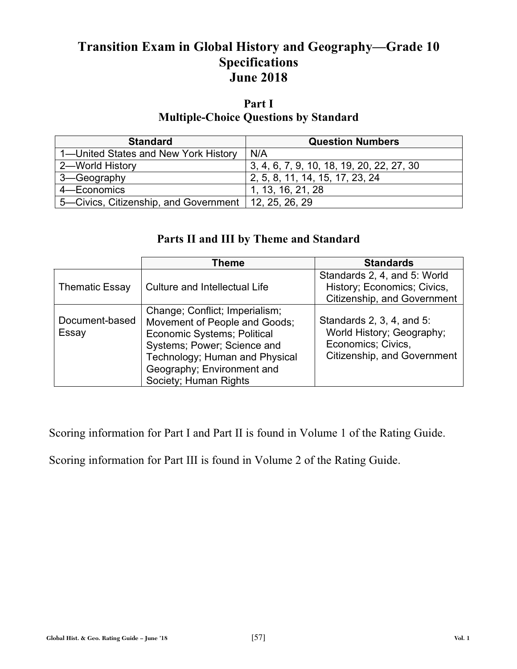## **Transition Exam in Global History and Geography—Grade 10 Specifications June 2018**

## **Part I Multiple-Choice Questions by Standard**

| <b>Standard</b>                                        | <b>Question Numbers</b>                   |
|--------------------------------------------------------|-------------------------------------------|
| 1-United States and New York History                   | N/A                                       |
| 2-World History                                        | 3, 4, 6, 7, 9, 10, 18, 19, 20, 22, 27, 30 |
| 3-Geography                                            | 2, 5, 8, 11, 14, 15, 17, 23, 24           |
| 4-Economics                                            | 1, 13, 16, 21, 28                         |
| 5—Civics, Citizenship, and Government   12, 25, 26, 29 |                                           |

## **Parts II and III by Theme and Standard**

|                         | Theme                                                                                                                                                                                                                         | <b>Standards</b>                                                                                            |
|-------------------------|-------------------------------------------------------------------------------------------------------------------------------------------------------------------------------------------------------------------------------|-------------------------------------------------------------------------------------------------------------|
| <b>Thematic Essay</b>   | Culture and Intellectual Life                                                                                                                                                                                                 | Standards 2, 4, and 5: World<br>History; Economics; Civics,<br>Citizenship, and Government                  |
| Document-based<br>Essay | Change; Conflict; Imperialism;<br>Movement of People and Goods;<br><b>Economic Systems; Political</b><br>Systems; Power; Science and<br>Technology; Human and Physical<br>Geography; Environment and<br>Society; Human Rights | Standards 2, 3, 4, and 5:<br>World History; Geography;<br>Economics; Civics,<br>Citizenship, and Government |

Scoring information for Part I and Part II is found in Volume 1 of the Rating Guide.

Scoring information for Part III is found in Volume 2 of the Rating Guide.